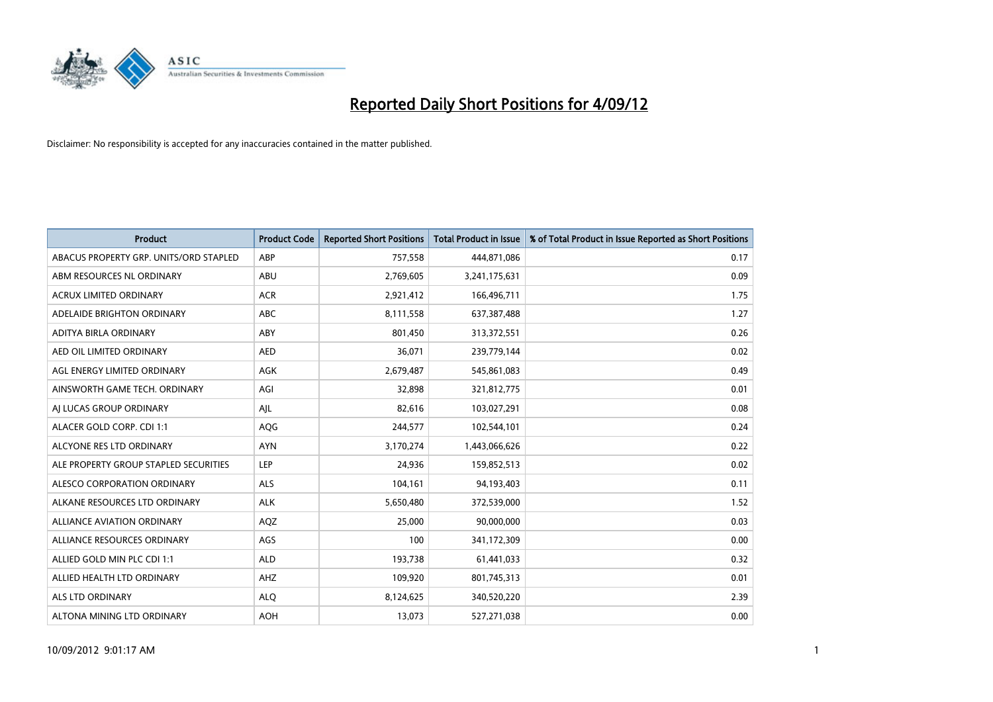

| <b>Product</b>                         | <b>Product Code</b> | <b>Reported Short Positions</b> | <b>Total Product in Issue</b> | % of Total Product in Issue Reported as Short Positions |
|----------------------------------------|---------------------|---------------------------------|-------------------------------|---------------------------------------------------------|
| ABACUS PROPERTY GRP. UNITS/ORD STAPLED | ABP                 | 757,558                         | 444,871,086                   | 0.17                                                    |
| ABM RESOURCES NL ORDINARY              | ABU                 | 2,769,605                       | 3,241,175,631                 | 0.09                                                    |
| <b>ACRUX LIMITED ORDINARY</b>          | <b>ACR</b>          | 2,921,412                       | 166,496,711                   | 1.75                                                    |
| ADELAIDE BRIGHTON ORDINARY             | <b>ABC</b>          | 8,111,558                       | 637,387,488                   | 1.27                                                    |
| <b>ADITYA BIRLA ORDINARY</b>           | ABY                 | 801.450                         | 313,372,551                   | 0.26                                                    |
| AED OIL LIMITED ORDINARY               | <b>AED</b>          | 36,071                          | 239,779,144                   | 0.02                                                    |
| AGL ENERGY LIMITED ORDINARY            | AGK                 | 2,679,487                       | 545,861,083                   | 0.49                                                    |
| AINSWORTH GAME TECH. ORDINARY          | AGI                 | 32,898                          | 321,812,775                   | 0.01                                                    |
| AJ LUCAS GROUP ORDINARY                | AJL                 | 82,616                          | 103,027,291                   | 0.08                                                    |
| ALACER GOLD CORP. CDI 1:1              | AQG                 | 244,577                         | 102,544,101                   | 0.24                                                    |
| ALCYONE RES LTD ORDINARY               | <b>AYN</b>          | 3,170,274                       | 1,443,066,626                 | 0.22                                                    |
| ALE PROPERTY GROUP STAPLED SECURITIES  | LEP                 | 24,936                          | 159,852,513                   | 0.02                                                    |
| <b>ALESCO CORPORATION ORDINARY</b>     | <b>ALS</b>          | 104,161                         | 94,193,403                    | 0.11                                                    |
| ALKANE RESOURCES LTD ORDINARY          | <b>ALK</b>          | 5,650,480                       | 372,539,000                   | 1.52                                                    |
| ALLIANCE AVIATION ORDINARY             | AQZ                 | 25,000                          | 90,000,000                    | 0.03                                                    |
| ALLIANCE RESOURCES ORDINARY            | AGS                 | 100                             | 341,172,309                   | 0.00                                                    |
| ALLIED GOLD MIN PLC CDI 1:1            | <b>ALD</b>          | 193,738                         | 61,441,033                    | 0.32                                                    |
| ALLIED HEALTH LTD ORDINARY             | AHZ                 | 109,920                         | 801,745,313                   | 0.01                                                    |
| <b>ALS LTD ORDINARY</b>                | <b>ALO</b>          | 8,124,625                       | 340,520,220                   | 2.39                                                    |
| ALTONA MINING LTD ORDINARY             | <b>AOH</b>          | 13,073                          | 527,271,038                   | 0.00                                                    |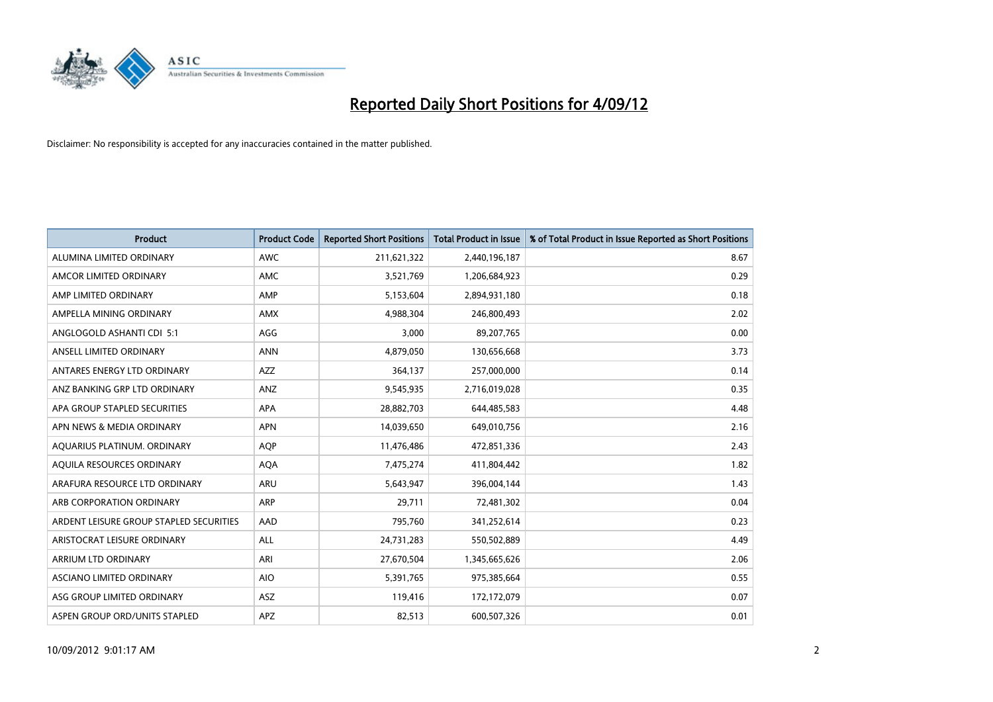

| <b>Product</b>                          | <b>Product Code</b> | <b>Reported Short Positions</b> | <b>Total Product in Issue</b> | % of Total Product in Issue Reported as Short Positions |
|-----------------------------------------|---------------------|---------------------------------|-------------------------------|---------------------------------------------------------|
| ALUMINA LIMITED ORDINARY                | <b>AWC</b>          | 211,621,322                     | 2,440,196,187                 | 8.67                                                    |
| AMCOR LIMITED ORDINARY                  | <b>AMC</b>          | 3,521,769                       | 1,206,684,923                 | 0.29                                                    |
| AMP LIMITED ORDINARY                    | AMP                 | 5,153,604                       | 2,894,931,180                 | 0.18                                                    |
| AMPELLA MINING ORDINARY                 | <b>AMX</b>          | 4,988,304                       | 246,800,493                   | 2.02                                                    |
| ANGLOGOLD ASHANTI CDI 5:1               | AGG                 | 3,000                           | 89,207,765                    | 0.00                                                    |
| ANSELL LIMITED ORDINARY                 | <b>ANN</b>          | 4,879,050                       | 130,656,668                   | 3.73                                                    |
| ANTARES ENERGY LTD ORDINARY             | <b>AZZ</b>          | 364,137                         | 257,000,000                   | 0.14                                                    |
| ANZ BANKING GRP LTD ORDINARY            | ANZ                 | 9,545,935                       | 2,716,019,028                 | 0.35                                                    |
| APA GROUP STAPLED SECURITIES            | <b>APA</b>          | 28,882,703                      | 644,485,583                   | 4.48                                                    |
| APN NEWS & MEDIA ORDINARY               | <b>APN</b>          | 14,039,650                      | 649,010,756                   | 2.16                                                    |
| AQUARIUS PLATINUM. ORDINARY             | <b>AOP</b>          | 11,476,486                      | 472,851,336                   | 2.43                                                    |
| AQUILA RESOURCES ORDINARY               | <b>AQA</b>          | 7,475,274                       | 411,804,442                   | 1.82                                                    |
| ARAFURA RESOURCE LTD ORDINARY           | <b>ARU</b>          | 5,643,947                       | 396,004,144                   | 1.43                                                    |
| ARB CORPORATION ORDINARY                | ARP                 | 29,711                          | 72,481,302                    | 0.04                                                    |
| ARDENT LEISURE GROUP STAPLED SECURITIES | AAD                 | 795,760                         | 341,252,614                   | 0.23                                                    |
| ARISTOCRAT LEISURE ORDINARY             | <b>ALL</b>          | 24,731,283                      | 550,502,889                   | 4.49                                                    |
| ARRIUM LTD ORDINARY                     | ARI                 | 27,670,504                      | 1,345,665,626                 | 2.06                                                    |
| ASCIANO LIMITED ORDINARY                | <b>AIO</b>          | 5,391,765                       | 975,385,664                   | 0.55                                                    |
| ASG GROUP LIMITED ORDINARY              | <b>ASZ</b>          | 119,416                         | 172,172,079                   | 0.07                                                    |
| ASPEN GROUP ORD/UNITS STAPLED           | APZ                 | 82,513                          | 600,507,326                   | 0.01                                                    |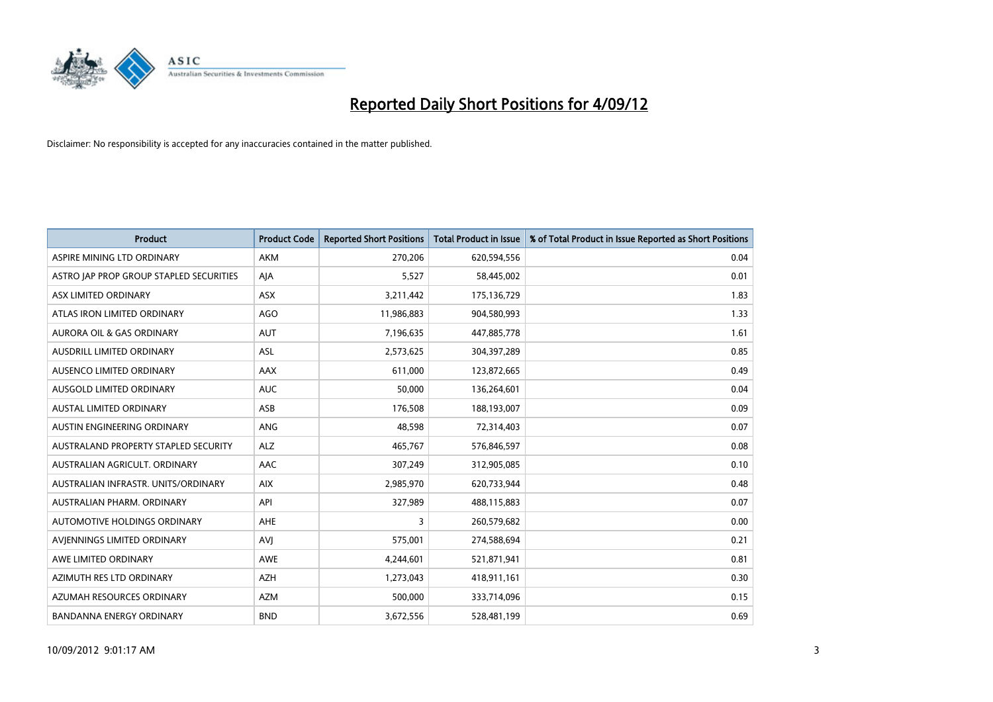

| <b>Product</b>                          | <b>Product Code</b> | <b>Reported Short Positions</b> | <b>Total Product in Issue</b> | % of Total Product in Issue Reported as Short Positions |
|-----------------------------------------|---------------------|---------------------------------|-------------------------------|---------------------------------------------------------|
| ASPIRE MINING LTD ORDINARY              | <b>AKM</b>          | 270,206                         | 620,594,556                   | 0.04                                                    |
| ASTRO JAP PROP GROUP STAPLED SECURITIES | AJA                 | 5,527                           | 58,445,002                    | 0.01                                                    |
| ASX LIMITED ORDINARY                    | <b>ASX</b>          | 3,211,442                       | 175,136,729                   | 1.83                                                    |
| ATLAS IRON LIMITED ORDINARY             | <b>AGO</b>          | 11,986,883                      | 904,580,993                   | 1.33                                                    |
| <b>AURORA OIL &amp; GAS ORDINARY</b>    | <b>AUT</b>          | 7,196,635                       | 447,885,778                   | 1.61                                                    |
| <b>AUSDRILL LIMITED ORDINARY</b>        | <b>ASL</b>          | 2,573,625                       | 304,397,289                   | 0.85                                                    |
| AUSENCO LIMITED ORDINARY                | AAX                 | 611,000                         | 123,872,665                   | 0.49                                                    |
| <b>AUSGOLD LIMITED ORDINARY</b>         | <b>AUC</b>          | 50,000                          | 136,264,601                   | 0.04                                                    |
| <b>AUSTAL LIMITED ORDINARY</b>          | ASB                 | 176,508                         | 188,193,007                   | 0.09                                                    |
| AUSTIN ENGINEERING ORDINARY             | <b>ANG</b>          | 48,598                          | 72,314,403                    | 0.07                                                    |
| AUSTRALAND PROPERTY STAPLED SECURITY    | <b>ALZ</b>          | 465,767                         | 576,846,597                   | 0.08                                                    |
| AUSTRALIAN AGRICULT. ORDINARY           | AAC                 | 307,249                         | 312,905,085                   | 0.10                                                    |
| AUSTRALIAN INFRASTR, UNITS/ORDINARY     | <b>AIX</b>          | 2,985,970                       | 620,733,944                   | 0.48                                                    |
| <b>AUSTRALIAN PHARM, ORDINARY</b>       | API                 | 327,989                         | 488,115,883                   | 0.07                                                    |
| <b>AUTOMOTIVE HOLDINGS ORDINARY</b>     | AHE                 | 3                               | 260,579,682                   | 0.00                                                    |
| AVJENNINGS LIMITED ORDINARY             | <b>AVJ</b>          | 575,001                         | 274,588,694                   | 0.21                                                    |
| AWE LIMITED ORDINARY                    | AWE                 | 4,244,601                       | 521,871,941                   | 0.81                                                    |
| AZIMUTH RES LTD ORDINARY                | <b>AZH</b>          | 1,273,043                       | 418,911,161                   | 0.30                                                    |
| AZUMAH RESOURCES ORDINARY               | <b>AZM</b>          | 500,000                         | 333,714,096                   | 0.15                                                    |
| BANDANNA ENERGY ORDINARY                | <b>BND</b>          | 3,672,556                       | 528,481,199                   | 0.69                                                    |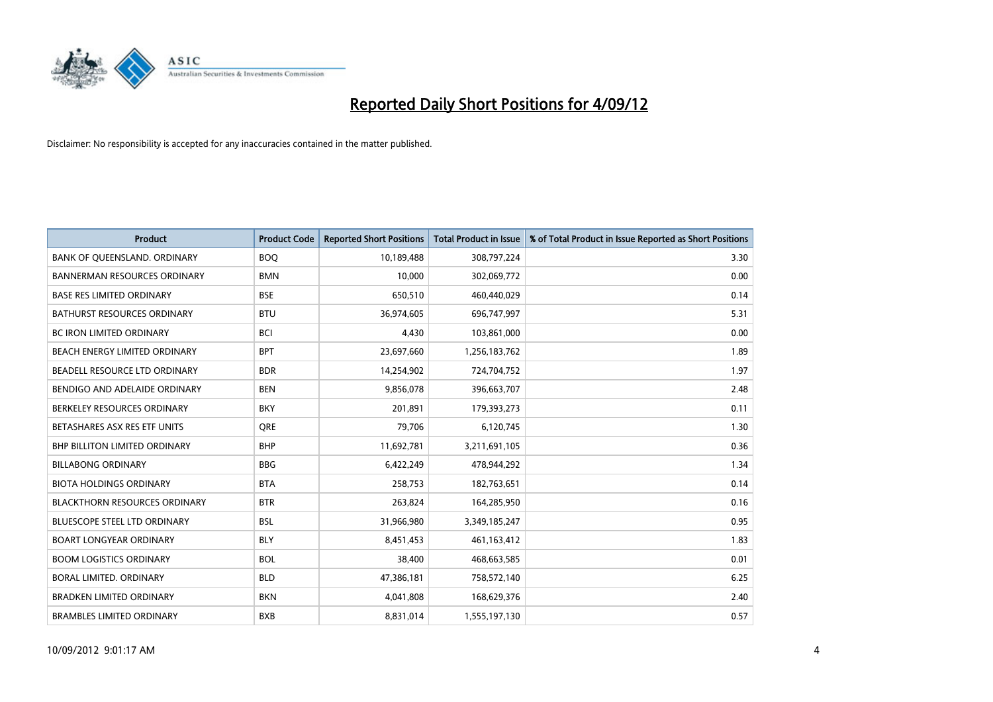

| <b>Product</b>                       | <b>Product Code</b> | <b>Reported Short Positions</b> | <b>Total Product in Issue</b> | % of Total Product in Issue Reported as Short Positions |
|--------------------------------------|---------------------|---------------------------------|-------------------------------|---------------------------------------------------------|
| BANK OF QUEENSLAND. ORDINARY         | <b>BOQ</b>          | 10,189,488                      | 308,797,224                   | 3.30                                                    |
| <b>BANNERMAN RESOURCES ORDINARY</b>  | <b>BMN</b>          | 10,000                          | 302,069,772                   | 0.00                                                    |
| <b>BASE RES LIMITED ORDINARY</b>     | <b>BSE</b>          | 650,510                         | 460,440,029                   | 0.14                                                    |
| BATHURST RESOURCES ORDINARY          | <b>BTU</b>          | 36,974,605                      | 696,747,997                   | 5.31                                                    |
| <b>BC IRON LIMITED ORDINARY</b>      | <b>BCI</b>          | 4,430                           | 103,861,000                   | 0.00                                                    |
| <b>BEACH ENERGY LIMITED ORDINARY</b> | <b>BPT</b>          | 23,697,660                      | 1,256,183,762                 | 1.89                                                    |
| BEADELL RESOURCE LTD ORDINARY        | <b>BDR</b>          | 14,254,902                      | 724,704,752                   | 1.97                                                    |
| BENDIGO AND ADELAIDE ORDINARY        | <b>BEN</b>          | 9,856,078                       | 396,663,707                   | 2.48                                                    |
| BERKELEY RESOURCES ORDINARY          | <b>BKY</b>          | 201,891                         | 179,393,273                   | 0.11                                                    |
| BETASHARES ASX RES ETF UNITS         | <b>ORE</b>          | 79,706                          | 6,120,745                     | 1.30                                                    |
| <b>BHP BILLITON LIMITED ORDINARY</b> | <b>BHP</b>          | 11,692,781                      | 3,211,691,105                 | 0.36                                                    |
| <b>BILLABONG ORDINARY</b>            | <b>BBG</b>          | 6,422,249                       | 478,944,292                   | 1.34                                                    |
| <b>BIOTA HOLDINGS ORDINARY</b>       | <b>BTA</b>          | 258,753                         | 182,763,651                   | 0.14                                                    |
| <b>BLACKTHORN RESOURCES ORDINARY</b> | <b>BTR</b>          | 263,824                         | 164,285,950                   | 0.16                                                    |
| <b>BLUESCOPE STEEL LTD ORDINARY</b>  | <b>BSL</b>          | 31,966,980                      | 3,349,185,247                 | 0.95                                                    |
| <b>BOART LONGYEAR ORDINARY</b>       | <b>BLY</b>          | 8,451,453                       | 461,163,412                   | 1.83                                                    |
| <b>BOOM LOGISTICS ORDINARY</b>       | <b>BOL</b>          | 38,400                          | 468,663,585                   | 0.01                                                    |
| BORAL LIMITED. ORDINARY              | <b>BLD</b>          | 47,386,181                      | 758,572,140                   | 6.25                                                    |
| <b>BRADKEN LIMITED ORDINARY</b>      | <b>BKN</b>          | 4,041,808                       | 168,629,376                   | 2.40                                                    |
| <b>BRAMBLES LIMITED ORDINARY</b>     | <b>BXB</b>          | 8,831,014                       | 1,555,197,130                 | 0.57                                                    |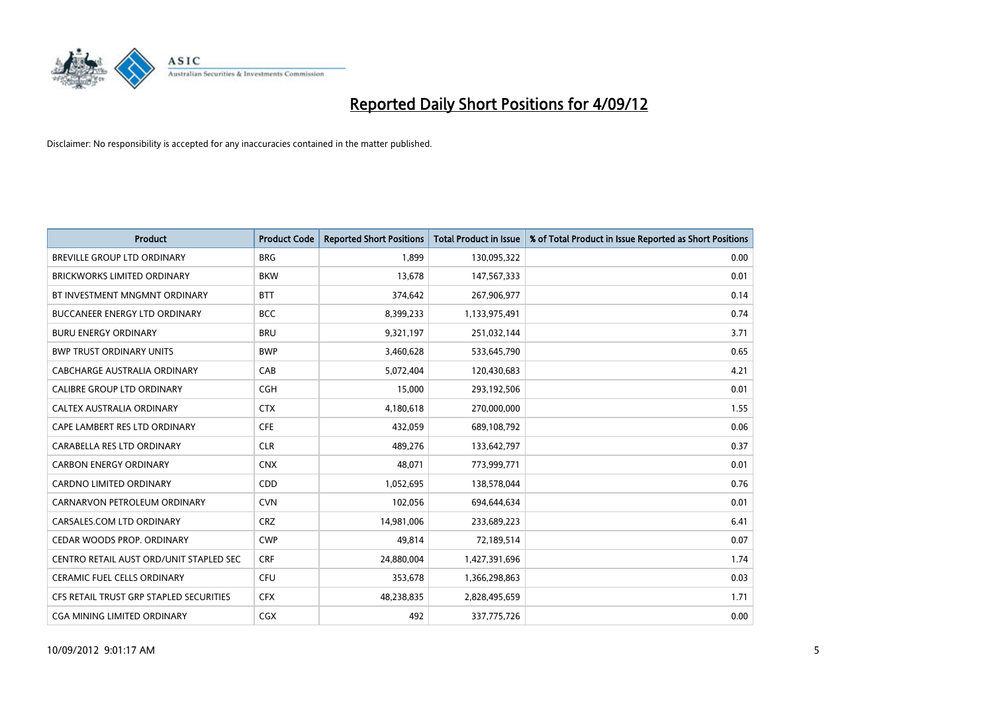

| <b>Product</b>                          | <b>Product Code</b> | <b>Reported Short Positions</b> | <b>Total Product in Issue</b> | % of Total Product in Issue Reported as Short Positions |
|-----------------------------------------|---------------------|---------------------------------|-------------------------------|---------------------------------------------------------|
| <b>BREVILLE GROUP LTD ORDINARY</b>      | <b>BRG</b>          | 1.899                           | 130,095,322                   | 0.00                                                    |
| BRICKWORKS LIMITED ORDINARY             | <b>BKW</b>          | 13,678                          | 147,567,333                   | 0.01                                                    |
| BT INVESTMENT MNGMNT ORDINARY           | <b>BTT</b>          | 374,642                         | 267,906,977                   | 0.14                                                    |
| BUCCANEER ENERGY LTD ORDINARY           | <b>BCC</b>          | 8,399,233                       | 1,133,975,491                 | 0.74                                                    |
| <b>BURU ENERGY ORDINARY</b>             | <b>BRU</b>          | 9,321,197                       | 251,032,144                   | 3.71                                                    |
| <b>BWP TRUST ORDINARY UNITS</b>         | <b>BWP</b>          | 3,460,628                       | 533,645,790                   | 0.65                                                    |
| CABCHARGE AUSTRALIA ORDINARY            | CAB                 | 5,072,404                       | 120,430,683                   | 4.21                                                    |
| CALIBRE GROUP LTD ORDINARY              | CGH                 | 15,000                          | 293,192,506                   | 0.01                                                    |
| CALTEX AUSTRALIA ORDINARY               | <b>CTX</b>          | 4,180,618                       | 270,000,000                   | 1.55                                                    |
| CAPE LAMBERT RES LTD ORDINARY           | <b>CFE</b>          | 432,059                         | 689,108,792                   | 0.06                                                    |
| CARABELLA RES LTD ORDINARY              | <b>CLR</b>          | 489,276                         | 133,642,797                   | 0.37                                                    |
| <b>CARBON ENERGY ORDINARY</b>           | <b>CNX</b>          | 48,071                          | 773,999,771                   | 0.01                                                    |
| <b>CARDNO LIMITED ORDINARY</b>          | <b>CDD</b>          | 1,052,695                       | 138,578,044                   | 0.76                                                    |
| CARNARVON PETROLEUM ORDINARY            | <b>CVN</b>          | 102,056                         | 694,644,634                   | 0.01                                                    |
| CARSALES.COM LTD ORDINARY               | <b>CRZ</b>          | 14,981,006                      | 233,689,223                   | 6.41                                                    |
| CEDAR WOODS PROP. ORDINARY              | <b>CWP</b>          | 49,814                          | 72,189,514                    | 0.07                                                    |
| CENTRO RETAIL AUST ORD/UNIT STAPLED SEC | <b>CRF</b>          | 24,880,004                      | 1,427,391,696                 | 1.74                                                    |
| <b>CERAMIC FUEL CELLS ORDINARY</b>      | CFU                 | 353,678                         | 1,366,298,863                 | 0.03                                                    |
| CFS RETAIL TRUST GRP STAPLED SECURITIES | <b>CFX</b>          | 48,238,835                      | 2,828,495,659                 | 1.71                                                    |
| CGA MINING LIMITED ORDINARY             | <b>CGX</b>          | 492                             | 337,775,726                   | 0.00                                                    |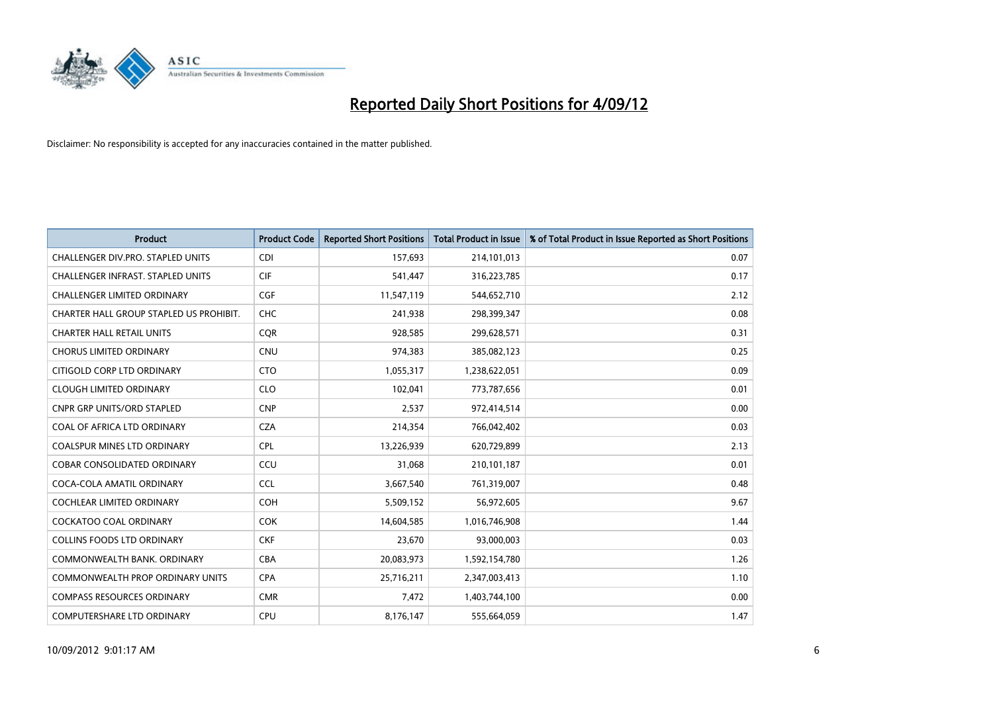

| <b>Product</b>                          | <b>Product Code</b> | <b>Reported Short Positions</b> | <b>Total Product in Issue</b> | % of Total Product in Issue Reported as Short Positions |
|-----------------------------------------|---------------------|---------------------------------|-------------------------------|---------------------------------------------------------|
| CHALLENGER DIV.PRO. STAPLED UNITS       | <b>CDI</b>          | 157,693                         | 214,101,013                   | 0.07                                                    |
| CHALLENGER INFRAST. STAPLED UNITS       | <b>CIF</b>          | 541,447                         | 316,223,785                   | 0.17                                                    |
| <b>CHALLENGER LIMITED ORDINARY</b>      | <b>CGF</b>          | 11,547,119                      | 544,652,710                   | 2.12                                                    |
| CHARTER HALL GROUP STAPLED US PROHIBIT. | <b>CHC</b>          | 241,938                         | 298,399,347                   | 0.08                                                    |
| <b>CHARTER HALL RETAIL UNITS</b>        | <b>COR</b>          | 928,585                         | 299,628,571                   | 0.31                                                    |
| <b>CHORUS LIMITED ORDINARY</b>          | <b>CNU</b>          | 974,383                         | 385,082,123                   | 0.25                                                    |
| CITIGOLD CORP LTD ORDINARY              | <b>CTO</b>          | 1,055,317                       | 1,238,622,051                 | 0.09                                                    |
| <b>CLOUGH LIMITED ORDINARY</b>          | <b>CLO</b>          | 102,041                         | 773,787,656                   | 0.01                                                    |
| <b>CNPR GRP UNITS/ORD STAPLED</b>       | <b>CNP</b>          | 2,537                           | 972,414,514                   | 0.00                                                    |
| COAL OF AFRICA LTD ORDINARY             | <b>CZA</b>          | 214,354                         | 766,042,402                   | 0.03                                                    |
| <b>COALSPUR MINES LTD ORDINARY</b>      | <b>CPL</b>          | 13,226,939                      | 620,729,899                   | 2.13                                                    |
| COBAR CONSOLIDATED ORDINARY             | CCU                 | 31,068                          | 210,101,187                   | 0.01                                                    |
| COCA-COLA AMATIL ORDINARY               | <b>CCL</b>          | 3,667,540                       | 761,319,007                   | 0.48                                                    |
| <b>COCHLEAR LIMITED ORDINARY</b>        | <b>COH</b>          | 5,509,152                       | 56,972,605                    | 9.67                                                    |
| <b>COCKATOO COAL ORDINARY</b>           | <b>COK</b>          | 14,604,585                      | 1,016,746,908                 | 1.44                                                    |
| <b>COLLINS FOODS LTD ORDINARY</b>       | <b>CKF</b>          | 23,670                          | 93,000,003                    | 0.03                                                    |
| COMMONWEALTH BANK, ORDINARY             | <b>CBA</b>          | 20,083,973                      | 1,592,154,780                 | 1.26                                                    |
| COMMONWEALTH PROP ORDINARY UNITS        | <b>CPA</b>          | 25,716,211                      | 2,347,003,413                 | 1.10                                                    |
| <b>COMPASS RESOURCES ORDINARY</b>       | <b>CMR</b>          | 7,472                           | 1,403,744,100                 | 0.00                                                    |
| COMPUTERSHARE LTD ORDINARY              | <b>CPU</b>          | 8,176,147                       | 555,664,059                   | 1.47                                                    |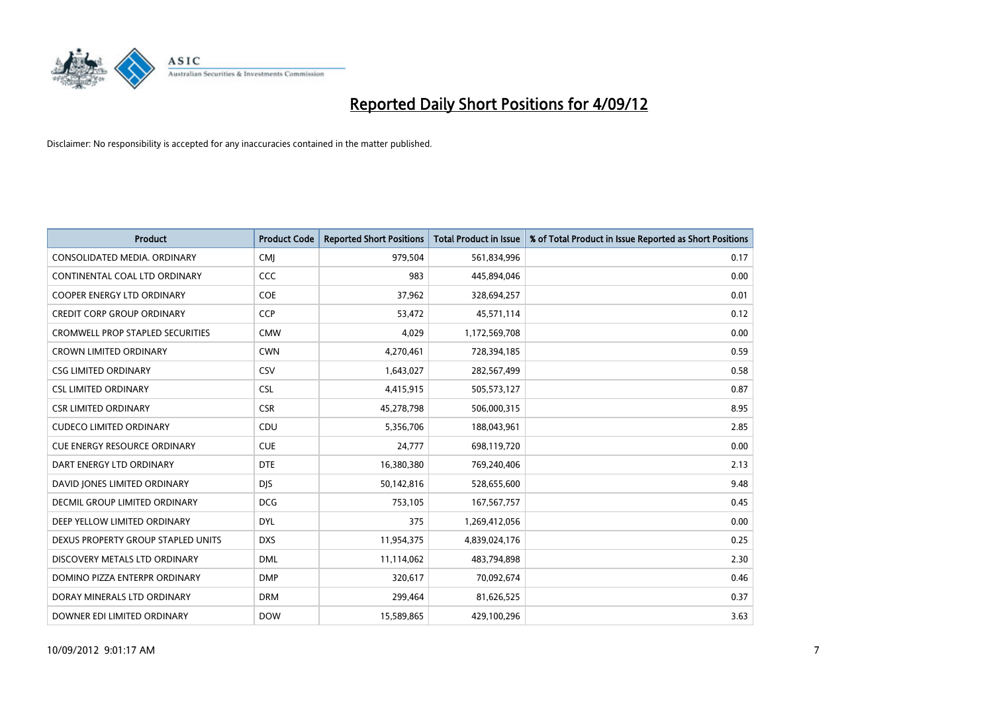

| <b>Product</b>                          | <b>Product Code</b> | <b>Reported Short Positions</b> | <b>Total Product in Issue</b> | % of Total Product in Issue Reported as Short Positions |
|-----------------------------------------|---------------------|---------------------------------|-------------------------------|---------------------------------------------------------|
| CONSOLIDATED MEDIA, ORDINARY            | <b>CMI</b>          | 979,504                         | 561,834,996                   | 0.17                                                    |
| CONTINENTAL COAL LTD ORDINARY           | CCC                 | 983                             | 445,894,046                   | 0.00                                                    |
| <b>COOPER ENERGY LTD ORDINARY</b>       | <b>COE</b>          | 37,962                          | 328,694,257                   | 0.01                                                    |
| <b>CREDIT CORP GROUP ORDINARY</b>       | <b>CCP</b>          | 53,472                          | 45,571,114                    | 0.12                                                    |
| <b>CROMWELL PROP STAPLED SECURITIES</b> | <b>CMW</b>          | 4,029                           | 1,172,569,708                 | 0.00                                                    |
| <b>CROWN LIMITED ORDINARY</b>           | <b>CWN</b>          | 4,270,461                       | 728,394,185                   | 0.59                                                    |
| <b>CSG LIMITED ORDINARY</b>             | CSV                 | 1,643,027                       | 282,567,499                   | 0.58                                                    |
| <b>CSL LIMITED ORDINARY</b>             | <b>CSL</b>          | 4,415,915                       | 505,573,127                   | 0.87                                                    |
| <b>CSR LIMITED ORDINARY</b>             | <b>CSR</b>          | 45,278,798                      | 506,000,315                   | 8.95                                                    |
| <b>CUDECO LIMITED ORDINARY</b>          | CDU                 | 5,356,706                       | 188,043,961                   | 2.85                                                    |
| <b>CUE ENERGY RESOURCE ORDINARY</b>     | <b>CUE</b>          | 24,777                          | 698,119,720                   | 0.00                                                    |
| DART ENERGY LTD ORDINARY                | <b>DTE</b>          | 16,380,380                      | 769,240,406                   | 2.13                                                    |
| DAVID JONES LIMITED ORDINARY            | <b>DJS</b>          | 50,142,816                      | 528,655,600                   | 9.48                                                    |
| <b>DECMIL GROUP LIMITED ORDINARY</b>    | <b>DCG</b>          | 753,105                         | 167, 567, 757                 | 0.45                                                    |
| DEEP YELLOW LIMITED ORDINARY            | <b>DYL</b>          | 375                             | 1,269,412,056                 | 0.00                                                    |
| DEXUS PROPERTY GROUP STAPLED UNITS      | <b>DXS</b>          | 11,954,375                      | 4,839,024,176                 | 0.25                                                    |
| DISCOVERY METALS LTD ORDINARY           | <b>DML</b>          | 11,114,062                      | 483,794,898                   | 2.30                                                    |
| DOMINO PIZZA ENTERPR ORDINARY           | <b>DMP</b>          | 320,617                         | 70,092,674                    | 0.46                                                    |
| DORAY MINERALS LTD ORDINARY             | <b>DRM</b>          | 299,464                         | 81,626,525                    | 0.37                                                    |
| DOWNER EDI LIMITED ORDINARY             | <b>DOW</b>          | 15,589,865                      | 429,100,296                   | 3.63                                                    |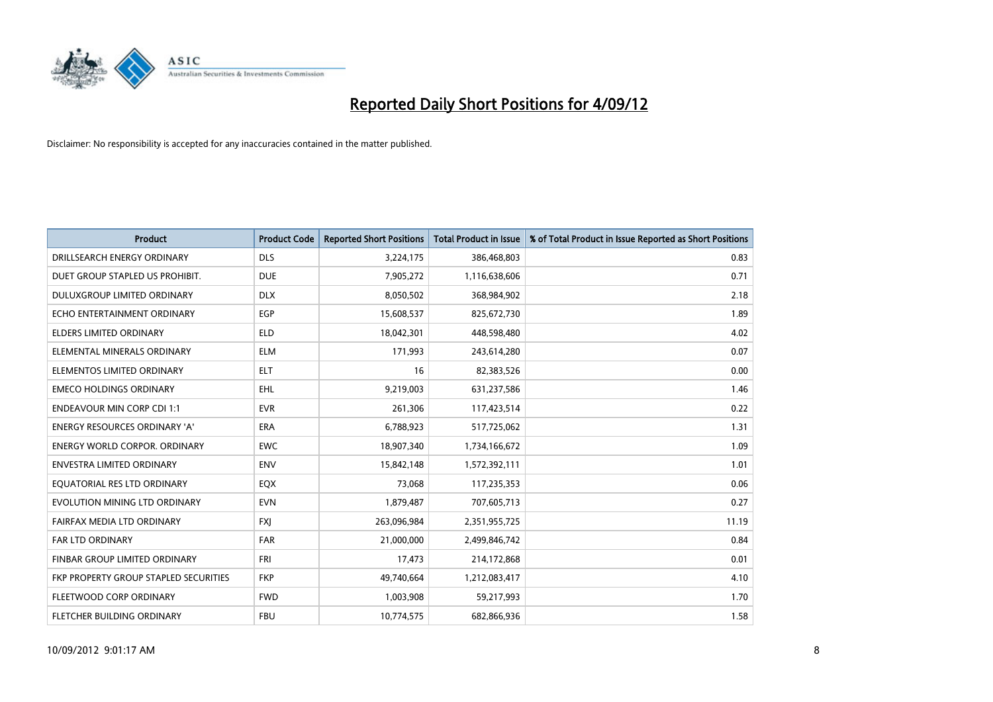

| <b>Product</b>                        | <b>Product Code</b> | <b>Reported Short Positions</b> | <b>Total Product in Issue</b> | % of Total Product in Issue Reported as Short Positions |
|---------------------------------------|---------------------|---------------------------------|-------------------------------|---------------------------------------------------------|
| DRILLSEARCH ENERGY ORDINARY           | <b>DLS</b>          | 3,224,175                       | 386,468,803                   | 0.83                                                    |
| DUET GROUP STAPLED US PROHIBIT.       | <b>DUE</b>          | 7,905,272                       | 1,116,638,606                 | 0.71                                                    |
| <b>DULUXGROUP LIMITED ORDINARY</b>    | <b>DLX</b>          | 8,050,502                       | 368,984,902                   | 2.18                                                    |
| ECHO ENTERTAINMENT ORDINARY           | EGP                 | 15,608,537                      | 825,672,730                   | 1.89                                                    |
| <b>ELDERS LIMITED ORDINARY</b>        | <b>ELD</b>          | 18,042,301                      | 448,598,480                   | 4.02                                                    |
| ELEMENTAL MINERALS ORDINARY           | <b>ELM</b>          | 171,993                         | 243,614,280                   | 0.07                                                    |
| ELEMENTOS LIMITED ORDINARY            | <b>ELT</b>          | 16                              | 82,383,526                    | 0.00                                                    |
| <b>EMECO HOLDINGS ORDINARY</b>        | <b>EHL</b>          | 9,219,003                       | 631,237,586                   | 1.46                                                    |
| <b>ENDEAVOUR MIN CORP CDI 1:1</b>     | <b>EVR</b>          | 261,306                         | 117,423,514                   | 0.22                                                    |
| <b>ENERGY RESOURCES ORDINARY 'A'</b>  | <b>ERA</b>          | 6,788,923                       | 517,725,062                   | 1.31                                                    |
| <b>ENERGY WORLD CORPOR, ORDINARY</b>  | <b>EWC</b>          | 18,907,340                      | 1,734,166,672                 | 1.09                                                    |
| <b>ENVESTRA LIMITED ORDINARY</b>      | <b>ENV</b>          | 15,842,148                      | 1,572,392,111                 | 1.01                                                    |
| EQUATORIAL RES LTD ORDINARY           | EQX                 | 73,068                          | 117,235,353                   | 0.06                                                    |
| EVOLUTION MINING LTD ORDINARY         | <b>EVN</b>          | 1,879,487                       | 707,605,713                   | 0.27                                                    |
| FAIRFAX MEDIA LTD ORDINARY            | <b>FXI</b>          | 263,096,984                     | 2,351,955,725                 | 11.19                                                   |
| <b>FAR LTD ORDINARY</b>               | <b>FAR</b>          | 21,000,000                      | 2,499,846,742                 | 0.84                                                    |
| FINBAR GROUP LIMITED ORDINARY         | <b>FRI</b>          | 17,473                          | 214,172,868                   | 0.01                                                    |
| FKP PROPERTY GROUP STAPLED SECURITIES | <b>FKP</b>          | 49,740,664                      | 1,212,083,417                 | 4.10                                                    |
| FLEETWOOD CORP ORDINARY               | <b>FWD</b>          | 1,003,908                       | 59,217,993                    | 1.70                                                    |
| FLETCHER BUILDING ORDINARY            | <b>FBU</b>          | 10,774,575                      | 682,866,936                   | 1.58                                                    |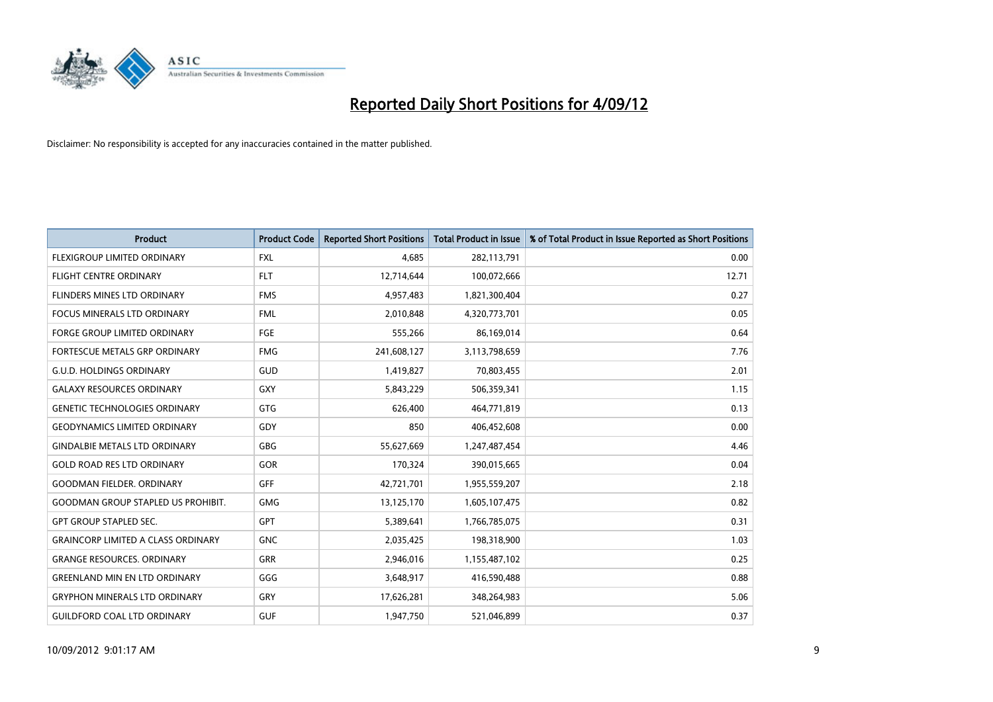

| <b>Product</b>                            | <b>Product Code</b> | <b>Reported Short Positions</b> | <b>Total Product in Issue</b> | % of Total Product in Issue Reported as Short Positions |
|-------------------------------------------|---------------------|---------------------------------|-------------------------------|---------------------------------------------------------|
| <b>FLEXIGROUP LIMITED ORDINARY</b>        | <b>FXL</b>          | 4,685                           | 282,113,791                   | 0.00                                                    |
| FLIGHT CENTRE ORDINARY                    | <b>FLT</b>          | 12,714,644                      | 100,072,666                   | 12.71                                                   |
| <b>FLINDERS MINES LTD ORDINARY</b>        | <b>FMS</b>          | 4,957,483                       | 1,821,300,404                 | 0.27                                                    |
| <b>FOCUS MINERALS LTD ORDINARY</b>        | <b>FML</b>          | 2,010,848                       | 4,320,773,701                 | 0.05                                                    |
| <b>FORGE GROUP LIMITED ORDINARY</b>       | FGE                 | 555,266                         | 86,169,014                    | 0.64                                                    |
| <b>FORTESCUE METALS GRP ORDINARY</b>      | <b>FMG</b>          | 241,608,127                     | 3,113,798,659                 | 7.76                                                    |
| <b>G.U.D. HOLDINGS ORDINARY</b>           | GUD                 | 1,419,827                       | 70,803,455                    | 2.01                                                    |
| <b>GALAXY RESOURCES ORDINARY</b>          | <b>GXY</b>          | 5,843,229                       | 506,359,341                   | 1.15                                                    |
| <b>GENETIC TECHNOLOGIES ORDINARY</b>      | GTG                 | 626,400                         | 464,771,819                   | 0.13                                                    |
| <b>GEODYNAMICS LIMITED ORDINARY</b>       | GDY                 | 850                             | 406,452,608                   | 0.00                                                    |
| <b>GINDALBIE METALS LTD ORDINARY</b>      | <b>GBG</b>          | 55,627,669                      | 1,247,487,454                 | 4.46                                                    |
| <b>GOLD ROAD RES LTD ORDINARY</b>         | <b>GOR</b>          | 170,324                         | 390,015,665                   | 0.04                                                    |
| <b>GOODMAN FIELDER, ORDINARY</b>          | GFF                 | 42,721,701                      | 1,955,559,207                 | 2.18                                                    |
| <b>GOODMAN GROUP STAPLED US PROHIBIT.</b> | <b>GMG</b>          | 13,125,170                      | 1,605,107,475                 | 0.82                                                    |
| <b>GPT GROUP STAPLED SEC.</b>             | <b>GPT</b>          | 5,389,641                       | 1,766,785,075                 | 0.31                                                    |
| <b>GRAINCORP LIMITED A CLASS ORDINARY</b> | <b>GNC</b>          | 2,035,425                       | 198,318,900                   | 1.03                                                    |
| <b>GRANGE RESOURCES, ORDINARY</b>         | GRR                 | 2,946,016                       | 1,155,487,102                 | 0.25                                                    |
| <b>GREENLAND MIN EN LTD ORDINARY</b>      | GGG                 | 3,648,917                       | 416,590,488                   | 0.88                                                    |
| <b>GRYPHON MINERALS LTD ORDINARY</b>      | GRY                 | 17,626,281                      | 348,264,983                   | 5.06                                                    |
| <b>GUILDFORD COAL LTD ORDINARY</b>        | <b>GUF</b>          | 1,947,750                       | 521,046,899                   | 0.37                                                    |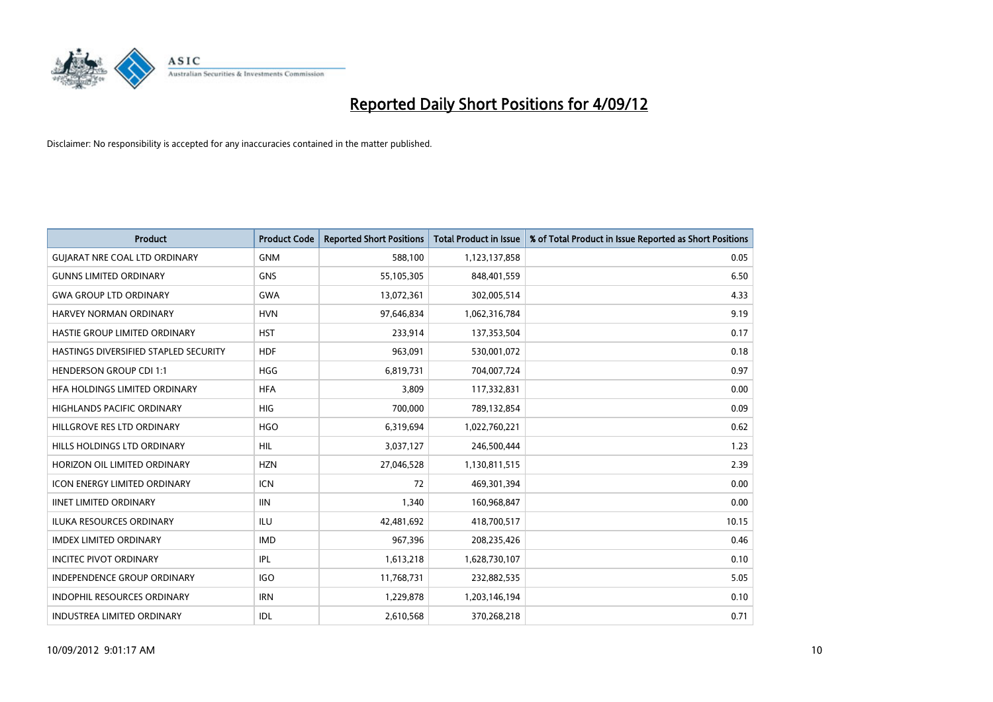

| <b>Product</b>                        | <b>Product Code</b> | <b>Reported Short Positions</b> | <b>Total Product in Issue</b> | % of Total Product in Issue Reported as Short Positions |
|---------------------------------------|---------------------|---------------------------------|-------------------------------|---------------------------------------------------------|
| <b>GUIARAT NRE COAL LTD ORDINARY</b>  | <b>GNM</b>          | 588,100                         | 1,123,137,858                 | 0.05                                                    |
| <b>GUNNS LIMITED ORDINARY</b>         | <b>GNS</b>          | 55,105,305                      | 848,401,559                   | 6.50                                                    |
| <b>GWA GROUP LTD ORDINARY</b>         | <b>GWA</b>          | 13,072,361                      | 302,005,514                   | 4.33                                                    |
| HARVEY NORMAN ORDINARY                | <b>HVN</b>          | 97,646,834                      | 1,062,316,784                 | 9.19                                                    |
| HASTIE GROUP LIMITED ORDINARY         | <b>HST</b>          | 233,914                         | 137,353,504                   | 0.17                                                    |
| HASTINGS DIVERSIFIED STAPLED SECURITY | <b>HDF</b>          | 963,091                         | 530,001,072                   | 0.18                                                    |
| <b>HENDERSON GROUP CDI 1:1</b>        | <b>HGG</b>          | 6,819,731                       | 704,007,724                   | 0.97                                                    |
| HFA HOLDINGS LIMITED ORDINARY         | <b>HFA</b>          | 3,809                           | 117,332,831                   | 0.00                                                    |
| <b>HIGHLANDS PACIFIC ORDINARY</b>     | <b>HIG</b>          | 700.000                         | 789,132,854                   | 0.09                                                    |
| HILLGROVE RES LTD ORDINARY            | <b>HGO</b>          | 6,319,694                       | 1,022,760,221                 | 0.62                                                    |
| HILLS HOLDINGS LTD ORDINARY           | <b>HIL</b>          | 3,037,127                       | 246,500,444                   | 1.23                                                    |
| HORIZON OIL LIMITED ORDINARY          | <b>HZN</b>          | 27,046,528                      | 1,130,811,515                 | 2.39                                                    |
| ICON ENERGY LIMITED ORDINARY          | <b>ICN</b>          | 72                              | 469,301,394                   | 0.00                                                    |
| <b>IINET LIMITED ORDINARY</b>         | <b>IIN</b>          | 1,340                           | 160,968,847                   | 0.00                                                    |
| <b>ILUKA RESOURCES ORDINARY</b>       | <b>ILU</b>          | 42,481,692                      | 418,700,517                   | 10.15                                                   |
| <b>IMDEX LIMITED ORDINARY</b>         | <b>IMD</b>          | 967,396                         | 208,235,426                   | 0.46                                                    |
| <b>INCITEC PIVOT ORDINARY</b>         | IPL                 | 1,613,218                       | 1,628,730,107                 | 0.10                                                    |
| INDEPENDENCE GROUP ORDINARY           | <b>IGO</b>          | 11,768,731                      | 232,882,535                   | 5.05                                                    |
| <b>INDOPHIL RESOURCES ORDINARY</b>    | <b>IRN</b>          | 1,229,878                       | 1,203,146,194                 | 0.10                                                    |
| INDUSTREA LIMITED ORDINARY            | IDL                 | 2,610,568                       | 370,268,218                   | 0.71                                                    |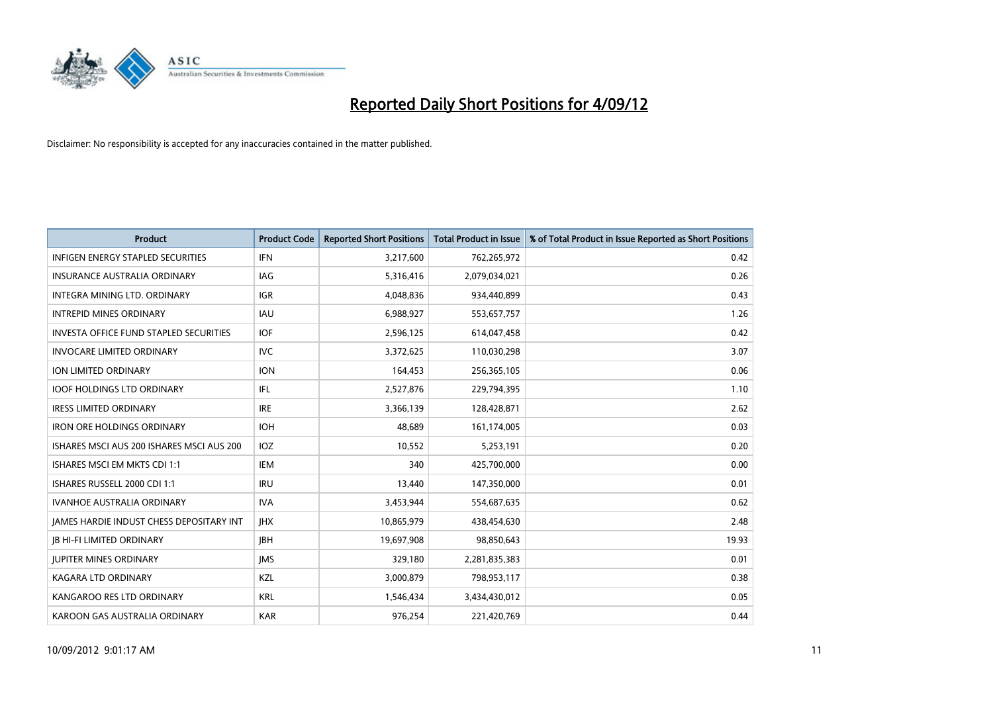

| <b>Product</b>                                  | <b>Product Code</b> | <b>Reported Short Positions</b> | <b>Total Product in Issue</b> | % of Total Product in Issue Reported as Short Positions |
|-------------------------------------------------|---------------------|---------------------------------|-------------------------------|---------------------------------------------------------|
| <b>INFIGEN ENERGY STAPLED SECURITIES</b>        | <b>IFN</b>          | 3,217,600                       | 762,265,972                   | 0.42                                                    |
| <b>INSURANCE AUSTRALIA ORDINARY</b>             | IAG                 | 5,316,416                       | 2,079,034,021                 | 0.26                                                    |
| <b>INTEGRA MINING LTD, ORDINARY</b>             | <b>IGR</b>          | 4,048,836                       | 934,440,899                   | 0.43                                                    |
| INTREPID MINES ORDINARY                         | <b>IAU</b>          | 6,988,927                       | 553,657,757                   | 1.26                                                    |
| <b>INVESTA OFFICE FUND STAPLED SECURITIES</b>   | <b>IOF</b>          | 2,596,125                       | 614,047,458                   | 0.42                                                    |
| <b>INVOCARE LIMITED ORDINARY</b>                | <b>IVC</b>          | 3,372,625                       | 110,030,298                   | 3.07                                                    |
| ION LIMITED ORDINARY                            | <b>ION</b>          | 164,453                         | 256,365,105                   | 0.06                                                    |
| <b>IOOF HOLDINGS LTD ORDINARY</b>               | <b>IFL</b>          | 2,527,876                       | 229,794,395                   | 1.10                                                    |
| <b>IRESS LIMITED ORDINARY</b>                   | <b>IRE</b>          | 3,366,139                       | 128,428,871                   | 2.62                                                    |
| <b>IRON ORE HOLDINGS ORDINARY</b>               | <b>IOH</b>          | 48.689                          | 161,174,005                   | 0.03                                                    |
| ISHARES MSCI AUS 200 ISHARES MSCI AUS 200       | <b>IOZ</b>          | 10,552                          | 5,253,191                     | 0.20                                                    |
| ISHARES MSCI EM MKTS CDI 1:1                    | IEM                 | 340                             | 425,700,000                   | 0.00                                                    |
| ISHARES RUSSELL 2000 CDI 1:1                    | <b>IRU</b>          | 13,440                          | 147,350,000                   | 0.01                                                    |
| <b>IVANHOE AUSTRALIA ORDINARY</b>               | <b>IVA</b>          | 3,453,944                       | 554,687,635                   | 0.62                                                    |
| <b>IAMES HARDIE INDUST CHESS DEPOSITARY INT</b> | <b>IHX</b>          | 10,865,979                      | 438,454,630                   | 2.48                                                    |
| <b>IB HI-FI LIMITED ORDINARY</b>                | <b>IBH</b>          | 19,697,908                      | 98,850,643                    | 19.93                                                   |
| <b>JUPITER MINES ORDINARY</b>                   | <b>IMS</b>          | 329,180                         | 2,281,835,383                 | 0.01                                                    |
| <b>KAGARA LTD ORDINARY</b>                      | <b>KZL</b>          | 3,000,879                       | 798,953,117                   | 0.38                                                    |
| KANGAROO RES LTD ORDINARY                       | <b>KRL</b>          | 1,546,434                       | 3,434,430,012                 | 0.05                                                    |
| KAROON GAS AUSTRALIA ORDINARY                   | <b>KAR</b>          | 976,254                         | 221,420,769                   | 0.44                                                    |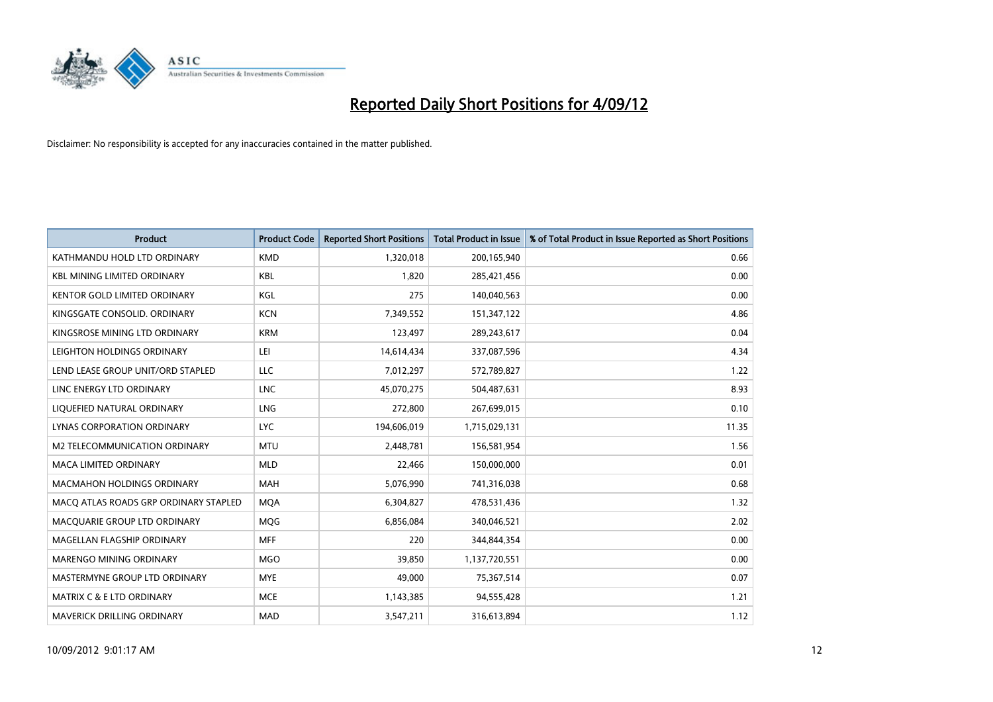

| <b>Product</b>                        | <b>Product Code</b> | <b>Reported Short Positions</b> | <b>Total Product in Issue</b> | % of Total Product in Issue Reported as Short Positions |
|---------------------------------------|---------------------|---------------------------------|-------------------------------|---------------------------------------------------------|
| KATHMANDU HOLD LTD ORDINARY           | <b>KMD</b>          | 1,320,018                       | 200,165,940                   | 0.66                                                    |
| <b>KBL MINING LIMITED ORDINARY</b>    | <b>KBL</b>          | 1,820                           | 285,421,456                   | 0.00                                                    |
| <b>KENTOR GOLD LIMITED ORDINARY</b>   | KGL                 | 275                             | 140,040,563                   | 0.00                                                    |
| KINGSGATE CONSOLID. ORDINARY          | <b>KCN</b>          | 7,349,552                       | 151,347,122                   | 4.86                                                    |
| KINGSROSE MINING LTD ORDINARY         | <b>KRM</b>          | 123,497                         | 289,243,617                   | 0.04                                                    |
| LEIGHTON HOLDINGS ORDINARY            | LEI                 | 14,614,434                      | 337,087,596                   | 4.34                                                    |
| LEND LEASE GROUP UNIT/ORD STAPLED     | LLC                 | 7,012,297                       | 572,789,827                   | 1.22                                                    |
| LINC ENERGY LTD ORDINARY              | <b>LNC</b>          | 45,070,275                      | 504,487,631                   | 8.93                                                    |
| LIQUEFIED NATURAL ORDINARY            | <b>LNG</b>          | 272,800                         | 267,699,015                   | 0.10                                                    |
| LYNAS CORPORATION ORDINARY            | <b>LYC</b>          | 194,606,019                     | 1,715,029,131                 | 11.35                                                   |
| M2 TELECOMMUNICATION ORDINARY         | <b>MTU</b>          | 2,448,781                       | 156,581,954                   | 1.56                                                    |
| <b>MACA LIMITED ORDINARY</b>          | <b>MLD</b>          | 22,466                          | 150,000,000                   | 0.01                                                    |
| <b>MACMAHON HOLDINGS ORDINARY</b>     | <b>MAH</b>          | 5,076,990                       | 741,316,038                   | 0.68                                                    |
| MACQ ATLAS ROADS GRP ORDINARY STAPLED | <b>MOA</b>          | 6,304,827                       | 478,531,436                   | 1.32                                                    |
| MACQUARIE GROUP LTD ORDINARY          | <b>MOG</b>          | 6,856,084                       | 340,046,521                   | 2.02                                                    |
| MAGELLAN FLAGSHIP ORDINARY            | <b>MFF</b>          | 220                             | 344,844,354                   | 0.00                                                    |
| MARENGO MINING ORDINARY               | <b>MGO</b>          | 39,850                          | 1,137,720,551                 | 0.00                                                    |
| MASTERMYNE GROUP LTD ORDINARY         | <b>MYE</b>          | 49,000                          | 75,367,514                    | 0.07                                                    |
| MATRIX C & E LTD ORDINARY             | <b>MCE</b>          | 1,143,385                       | 94,555,428                    | 1.21                                                    |
| MAVERICK DRILLING ORDINARY            | <b>MAD</b>          | 3,547,211                       | 316,613,894                   | 1.12                                                    |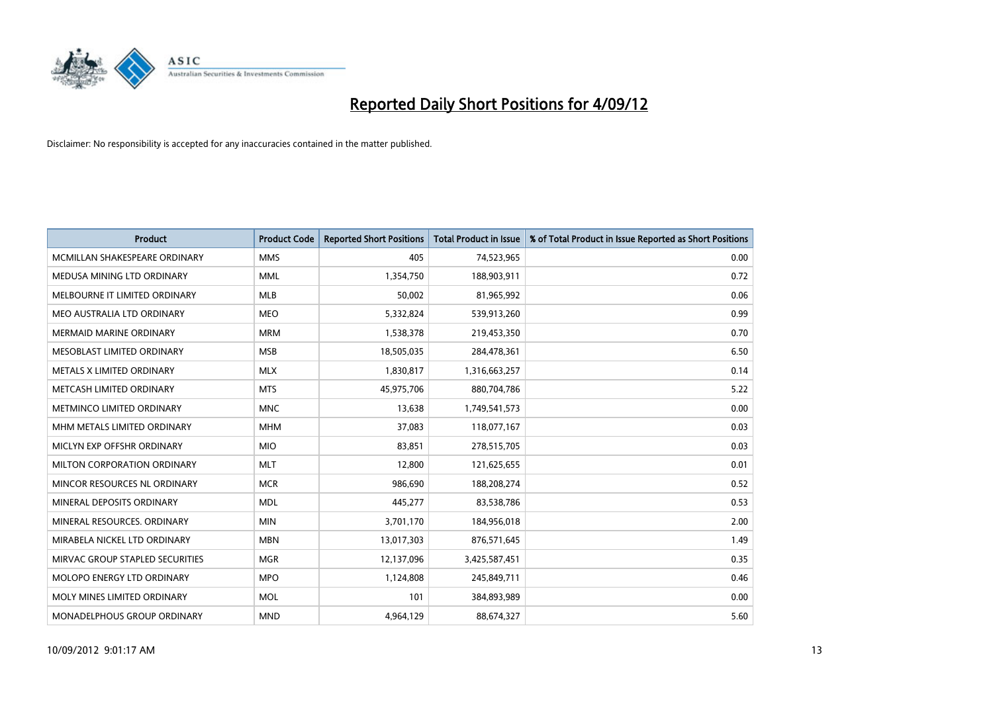

| <b>Product</b>                  | <b>Product Code</b> | <b>Reported Short Positions</b> | <b>Total Product in Issue</b> | % of Total Product in Issue Reported as Short Positions |
|---------------------------------|---------------------|---------------------------------|-------------------------------|---------------------------------------------------------|
| MCMILLAN SHAKESPEARE ORDINARY   | <b>MMS</b>          | 405                             | 74,523,965                    | 0.00                                                    |
| MEDUSA MINING LTD ORDINARY      | <b>MML</b>          | 1,354,750                       | 188,903,911                   | 0.72                                                    |
| MELBOURNE IT LIMITED ORDINARY   | <b>MLB</b>          | 50,002                          | 81,965,992                    | 0.06                                                    |
| MEO AUSTRALIA LTD ORDINARY      | <b>MEO</b>          | 5,332,824                       | 539,913,260                   | 0.99                                                    |
| <b>MERMAID MARINE ORDINARY</b>  | <b>MRM</b>          | 1,538,378                       | 219,453,350                   | 0.70                                                    |
| MESOBLAST LIMITED ORDINARY      | <b>MSB</b>          | 18,505,035                      | 284,478,361                   | 6.50                                                    |
| METALS X LIMITED ORDINARY       | <b>MLX</b>          | 1,830,817                       | 1,316,663,257                 | 0.14                                                    |
| METCASH LIMITED ORDINARY        | <b>MTS</b>          | 45,975,706                      | 880,704,786                   | 5.22                                                    |
| METMINCO LIMITED ORDINARY       | <b>MNC</b>          | 13,638                          | 1,749,541,573                 | 0.00                                                    |
| MHM METALS LIMITED ORDINARY     | <b>MHM</b>          | 37,083                          | 118,077,167                   | 0.03                                                    |
| MICLYN EXP OFFSHR ORDINARY      | <b>MIO</b>          | 83,851                          | 278,515,705                   | 0.03                                                    |
| MILTON CORPORATION ORDINARY     | <b>MLT</b>          | 12,800                          | 121,625,655                   | 0.01                                                    |
| MINCOR RESOURCES NL ORDINARY    | <b>MCR</b>          | 986,690                         | 188,208,274                   | 0.52                                                    |
| MINERAL DEPOSITS ORDINARY       | <b>MDL</b>          | 445,277                         | 83,538,786                    | 0.53                                                    |
| MINERAL RESOURCES, ORDINARY     | <b>MIN</b>          | 3,701,170                       | 184,956,018                   | 2.00                                                    |
| MIRABELA NICKEL LTD ORDINARY    | <b>MBN</b>          | 13,017,303                      | 876,571,645                   | 1.49                                                    |
| MIRVAC GROUP STAPLED SECURITIES | <b>MGR</b>          | 12,137,096                      | 3,425,587,451                 | 0.35                                                    |
| MOLOPO ENERGY LTD ORDINARY      | <b>MPO</b>          | 1,124,808                       | 245,849,711                   | 0.46                                                    |
| MOLY MINES LIMITED ORDINARY     | <b>MOL</b>          | 101                             | 384,893,989                   | 0.00                                                    |
| MONADELPHOUS GROUP ORDINARY     | <b>MND</b>          | 4,964,129                       | 88,674,327                    | 5.60                                                    |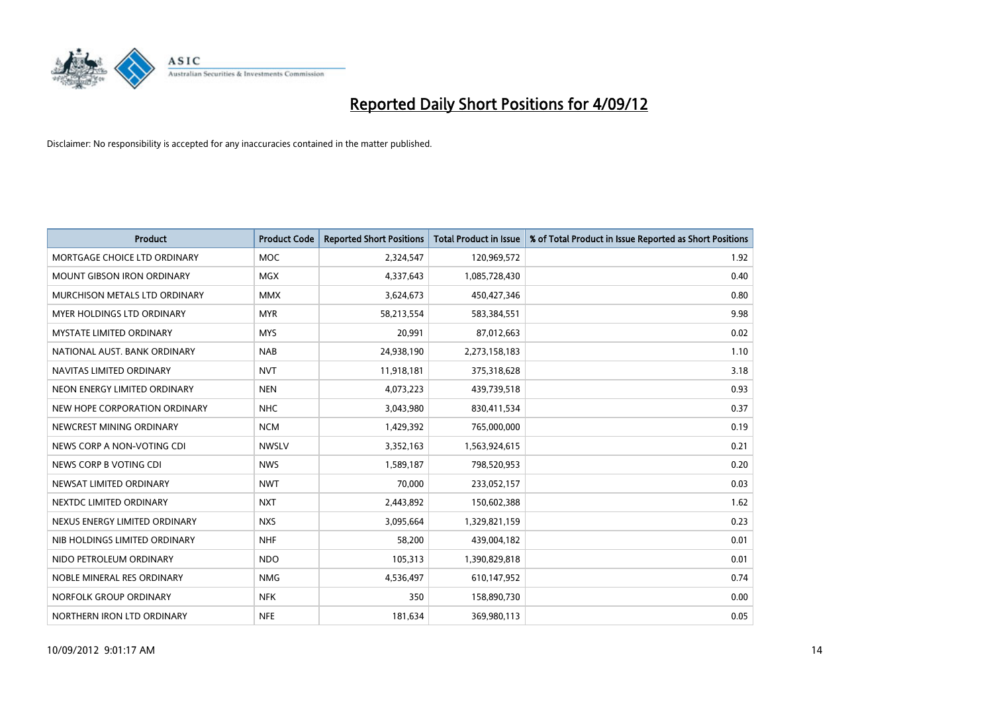

| <b>Product</b>                  | <b>Product Code</b> | <b>Reported Short Positions</b> | <b>Total Product in Issue</b> | % of Total Product in Issue Reported as Short Positions |
|---------------------------------|---------------------|---------------------------------|-------------------------------|---------------------------------------------------------|
| MORTGAGE CHOICE LTD ORDINARY    | <b>MOC</b>          | 2,324,547                       | 120,969,572                   | 1.92                                                    |
| MOUNT GIBSON IRON ORDINARY      | <b>MGX</b>          | 4,337,643                       | 1,085,728,430                 | 0.40                                                    |
| MURCHISON METALS LTD ORDINARY   | <b>MMX</b>          | 3,624,673                       | 450,427,346                   | 0.80                                                    |
| MYER HOLDINGS LTD ORDINARY      | <b>MYR</b>          | 58,213,554                      | 583,384,551                   | 9.98                                                    |
| <b>MYSTATE LIMITED ORDINARY</b> | <b>MYS</b>          | 20,991                          | 87,012,663                    | 0.02                                                    |
| NATIONAL AUST, BANK ORDINARY    | <b>NAB</b>          | 24,938,190                      | 2,273,158,183                 | 1.10                                                    |
| NAVITAS LIMITED ORDINARY        | <b>NVT</b>          | 11,918,181                      | 375,318,628                   | 3.18                                                    |
| NEON ENERGY LIMITED ORDINARY    | <b>NEN</b>          | 4,073,223                       | 439,739,518                   | 0.93                                                    |
| NEW HOPE CORPORATION ORDINARY   | <b>NHC</b>          | 3,043,980                       | 830,411,534                   | 0.37                                                    |
| NEWCREST MINING ORDINARY        | <b>NCM</b>          | 1,429,392                       | 765,000,000                   | 0.19                                                    |
| NEWS CORP A NON-VOTING CDI      | <b>NWSLV</b>        | 3,352,163                       | 1,563,924,615                 | 0.21                                                    |
| NEWS CORP B VOTING CDI          | <b>NWS</b>          | 1,589,187                       | 798,520,953                   | 0.20                                                    |
| NEWSAT LIMITED ORDINARY         | <b>NWT</b>          | 70,000                          | 233,052,157                   | 0.03                                                    |
| NEXTDC LIMITED ORDINARY         | <b>NXT</b>          | 2,443,892                       | 150,602,388                   | 1.62                                                    |
| NEXUS ENERGY LIMITED ORDINARY   | <b>NXS</b>          | 3,095,664                       | 1,329,821,159                 | 0.23                                                    |
| NIB HOLDINGS LIMITED ORDINARY   | <b>NHF</b>          | 58,200                          | 439,004,182                   | 0.01                                                    |
| NIDO PETROLEUM ORDINARY         | <b>NDO</b>          | 105,313                         | 1,390,829,818                 | 0.01                                                    |
| NOBLE MINERAL RES ORDINARY      | <b>NMG</b>          | 4,536,497                       | 610,147,952                   | 0.74                                                    |
| NORFOLK GROUP ORDINARY          | <b>NFK</b>          | 350                             | 158,890,730                   | 0.00                                                    |
| NORTHERN IRON LTD ORDINARY      | <b>NFE</b>          | 181,634                         | 369,980,113                   | 0.05                                                    |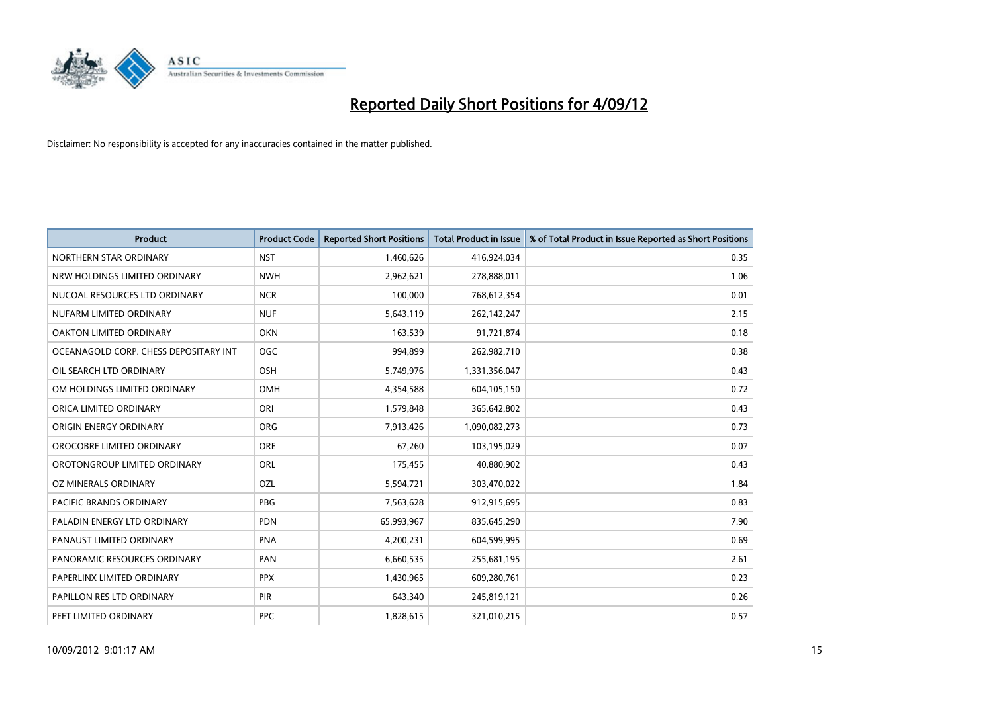

| <b>Product</b>                        | <b>Product Code</b> | <b>Reported Short Positions</b> | <b>Total Product in Issue</b> | % of Total Product in Issue Reported as Short Positions |
|---------------------------------------|---------------------|---------------------------------|-------------------------------|---------------------------------------------------------|
| NORTHERN STAR ORDINARY                | <b>NST</b>          | 1,460,626                       | 416,924,034                   | 0.35                                                    |
| NRW HOLDINGS LIMITED ORDINARY         | <b>NWH</b>          | 2,962,621                       | 278,888,011                   | 1.06                                                    |
| NUCOAL RESOURCES LTD ORDINARY         | <b>NCR</b>          | 100,000                         | 768,612,354                   | 0.01                                                    |
| NUFARM LIMITED ORDINARY               | <b>NUF</b>          | 5,643,119                       | 262,142,247                   | 2.15                                                    |
| OAKTON LIMITED ORDINARY               | <b>OKN</b>          | 163,539                         | 91,721,874                    | 0.18                                                    |
| OCEANAGOLD CORP. CHESS DEPOSITARY INT | <b>OGC</b>          | 994,899                         | 262,982,710                   | 0.38                                                    |
| OIL SEARCH LTD ORDINARY               | <b>OSH</b>          | 5,749,976                       | 1,331,356,047                 | 0.43                                                    |
| OM HOLDINGS LIMITED ORDINARY          | <b>OMH</b>          | 4,354,588                       | 604,105,150                   | 0.72                                                    |
| ORICA LIMITED ORDINARY                | ORI                 | 1,579,848                       | 365,642,802                   | 0.43                                                    |
| ORIGIN ENERGY ORDINARY                | ORG                 | 7,913,426                       | 1,090,082,273                 | 0.73                                                    |
| OROCOBRE LIMITED ORDINARY             | <b>ORE</b>          | 67,260                          | 103,195,029                   | 0.07                                                    |
| OROTONGROUP LIMITED ORDINARY          | ORL                 | 175,455                         | 40,880,902                    | 0.43                                                    |
| OZ MINERALS ORDINARY                  | OZL                 | 5,594,721                       | 303,470,022                   | 1.84                                                    |
| <b>PACIFIC BRANDS ORDINARY</b>        | <b>PBG</b>          | 7,563,628                       | 912,915,695                   | 0.83                                                    |
| PALADIN ENERGY LTD ORDINARY           | <b>PDN</b>          | 65,993,967                      | 835,645,290                   | 7.90                                                    |
| PANAUST LIMITED ORDINARY              | <b>PNA</b>          | 4,200,231                       | 604,599,995                   | 0.69                                                    |
| PANORAMIC RESOURCES ORDINARY          | PAN                 | 6,660,535                       | 255,681,195                   | 2.61                                                    |
| PAPERLINX LIMITED ORDINARY            | <b>PPX</b>          | 1,430,965                       | 609,280,761                   | 0.23                                                    |
| PAPILLON RES LTD ORDINARY             | <b>PIR</b>          | 643,340                         | 245,819,121                   | 0.26                                                    |
| PEET LIMITED ORDINARY                 | <b>PPC</b>          | 1,828,615                       | 321,010,215                   | 0.57                                                    |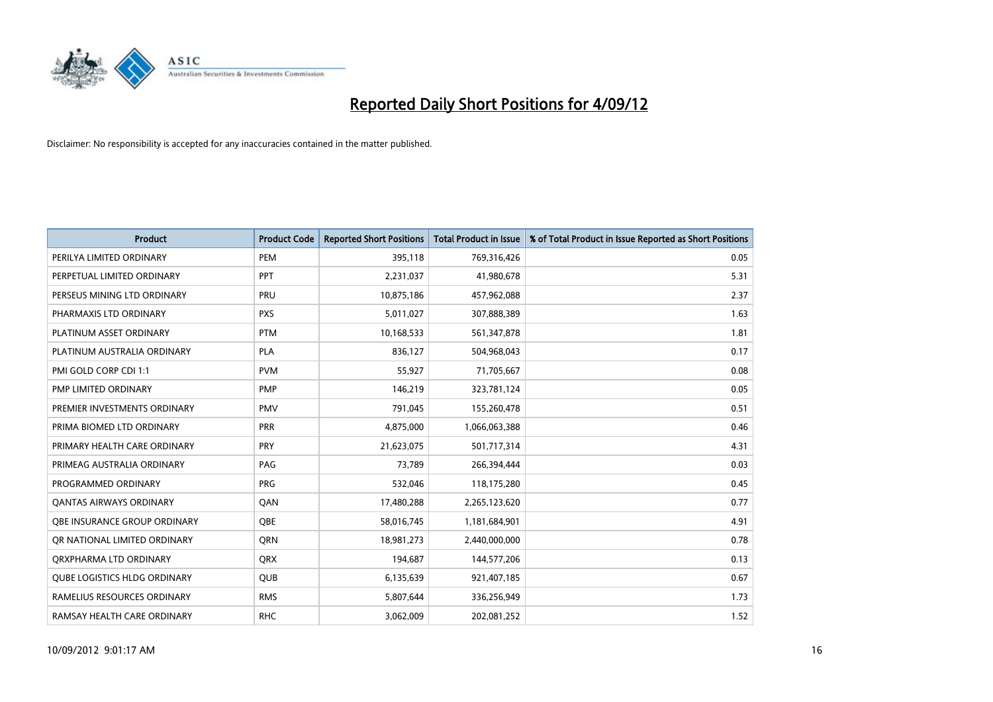

| <b>Product</b>                 | <b>Product Code</b> | <b>Reported Short Positions</b> | <b>Total Product in Issue</b> | % of Total Product in Issue Reported as Short Positions |
|--------------------------------|---------------------|---------------------------------|-------------------------------|---------------------------------------------------------|
| PERILYA LIMITED ORDINARY       | PEM                 | 395,118                         | 769,316,426                   | 0.05                                                    |
| PERPETUAL LIMITED ORDINARY     | PPT                 | 2,231,037                       | 41,980,678                    | 5.31                                                    |
| PERSEUS MINING LTD ORDINARY    | PRU                 | 10,875,186                      | 457,962,088                   | 2.37                                                    |
| PHARMAXIS LTD ORDINARY         | <b>PXS</b>          | 5,011,027                       | 307,888,389                   | 1.63                                                    |
| PLATINUM ASSET ORDINARY        | <b>PTM</b>          | 10,168,533                      | 561,347,878                   | 1.81                                                    |
| PLATINUM AUSTRALIA ORDINARY    | <b>PLA</b>          | 836,127                         | 504,968,043                   | 0.17                                                    |
| PMI GOLD CORP CDI 1:1          | <b>PVM</b>          | 55,927                          | 71,705,667                    | 0.08                                                    |
| PMP LIMITED ORDINARY           | <b>PMP</b>          | 146,219                         | 323,781,124                   | 0.05                                                    |
| PREMIER INVESTMENTS ORDINARY   | <b>PMV</b>          | 791,045                         | 155,260,478                   | 0.51                                                    |
| PRIMA BIOMED LTD ORDINARY      | <b>PRR</b>          | 4,875,000                       | 1,066,063,388                 | 0.46                                                    |
| PRIMARY HEALTH CARE ORDINARY   | <b>PRY</b>          | 21,623,075                      | 501,717,314                   | 4.31                                                    |
| PRIMEAG AUSTRALIA ORDINARY     | PAG                 | 73,789                          | 266,394,444                   | 0.03                                                    |
| PROGRAMMED ORDINARY            | <b>PRG</b>          | 532,046                         | 118,175,280                   | 0.45                                                    |
| <b>QANTAS AIRWAYS ORDINARY</b> | QAN                 | 17,480,288                      | 2,265,123,620                 | 0.77                                                    |
| OBE INSURANCE GROUP ORDINARY   | <b>OBE</b>          | 58,016,745                      | 1,181,684,901                 | 4.91                                                    |
| OR NATIONAL LIMITED ORDINARY   | <b>ORN</b>          | 18,981,273                      | 2,440,000,000                 | 0.78                                                    |
| ORXPHARMA LTD ORDINARY         | <b>QRX</b>          | 194,687                         | 144,577,206                   | 0.13                                                    |
| QUBE LOGISTICS HLDG ORDINARY   | QUB                 | 6,135,639                       | 921,407,185                   | 0.67                                                    |
| RAMELIUS RESOURCES ORDINARY    | <b>RMS</b>          | 5,807,644                       | 336,256,949                   | 1.73                                                    |
| RAMSAY HEALTH CARE ORDINARY    | <b>RHC</b>          | 3,062,009                       | 202,081,252                   | 1.52                                                    |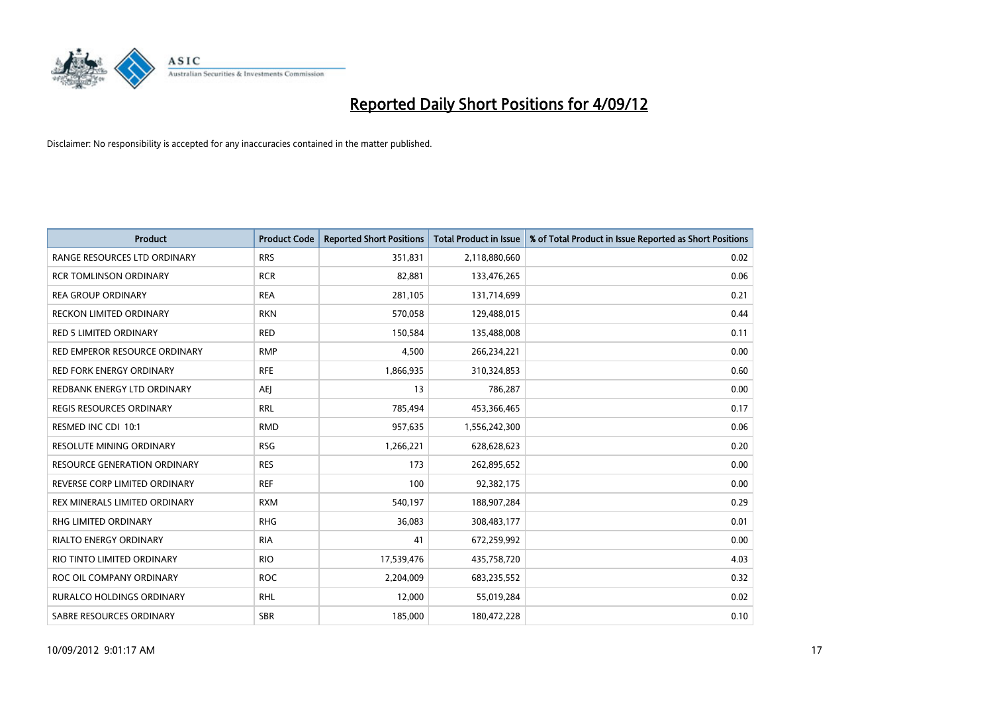

| <b>Product</b>                      | <b>Product Code</b> | <b>Reported Short Positions</b> | <b>Total Product in Issue</b> | % of Total Product in Issue Reported as Short Positions |
|-------------------------------------|---------------------|---------------------------------|-------------------------------|---------------------------------------------------------|
| RANGE RESOURCES LTD ORDINARY        | <b>RRS</b>          | 351,831                         | 2,118,880,660                 | 0.02                                                    |
| <b>RCR TOMLINSON ORDINARY</b>       | <b>RCR</b>          | 82,881                          | 133,476,265                   | 0.06                                                    |
| <b>REA GROUP ORDINARY</b>           | <b>REA</b>          | 281,105                         | 131,714,699                   | 0.21                                                    |
| RECKON LIMITED ORDINARY             | <b>RKN</b>          | 570,058                         | 129,488,015                   | 0.44                                                    |
| <b>RED 5 LIMITED ORDINARY</b>       | <b>RED</b>          | 150,584                         | 135,488,008                   | 0.11                                                    |
| RED EMPEROR RESOURCE ORDINARY       | <b>RMP</b>          | 4,500                           | 266,234,221                   | 0.00                                                    |
| <b>RED FORK ENERGY ORDINARY</b>     | <b>RFE</b>          | 1,866,935                       | 310,324,853                   | 0.60                                                    |
| REDBANK ENERGY LTD ORDINARY         | AEI                 | 13                              | 786,287                       | 0.00                                                    |
| <b>REGIS RESOURCES ORDINARY</b>     | <b>RRL</b>          | 785,494                         | 453,366,465                   | 0.17                                                    |
| RESMED INC CDI 10:1                 | <b>RMD</b>          | 957,635                         | 1,556,242,300                 | 0.06                                                    |
| RESOLUTE MINING ORDINARY            | <b>RSG</b>          | 1,266,221                       | 628,628,623                   | 0.20                                                    |
| <b>RESOURCE GENERATION ORDINARY</b> | <b>RES</b>          | 173                             | 262,895,652                   | 0.00                                                    |
| REVERSE CORP LIMITED ORDINARY       | <b>REF</b>          | 100                             | 92,382,175                    | 0.00                                                    |
| REX MINERALS LIMITED ORDINARY       | <b>RXM</b>          | 540,197                         | 188,907,284                   | 0.29                                                    |
| <b>RHG LIMITED ORDINARY</b>         | <b>RHG</b>          | 36,083                          | 308,483,177                   | 0.01                                                    |
| RIALTO ENERGY ORDINARY              | <b>RIA</b>          | 41                              | 672,259,992                   | 0.00                                                    |
| RIO TINTO LIMITED ORDINARY          | <b>RIO</b>          | 17,539,476                      | 435,758,720                   | 4.03                                                    |
| ROC OIL COMPANY ORDINARY            | <b>ROC</b>          | 2,204,009                       | 683,235,552                   | 0.32                                                    |
| <b>RURALCO HOLDINGS ORDINARY</b>    | <b>RHL</b>          | 12,000                          | 55,019,284                    | 0.02                                                    |
| SABRE RESOURCES ORDINARY            | <b>SBR</b>          | 185,000                         | 180,472,228                   | 0.10                                                    |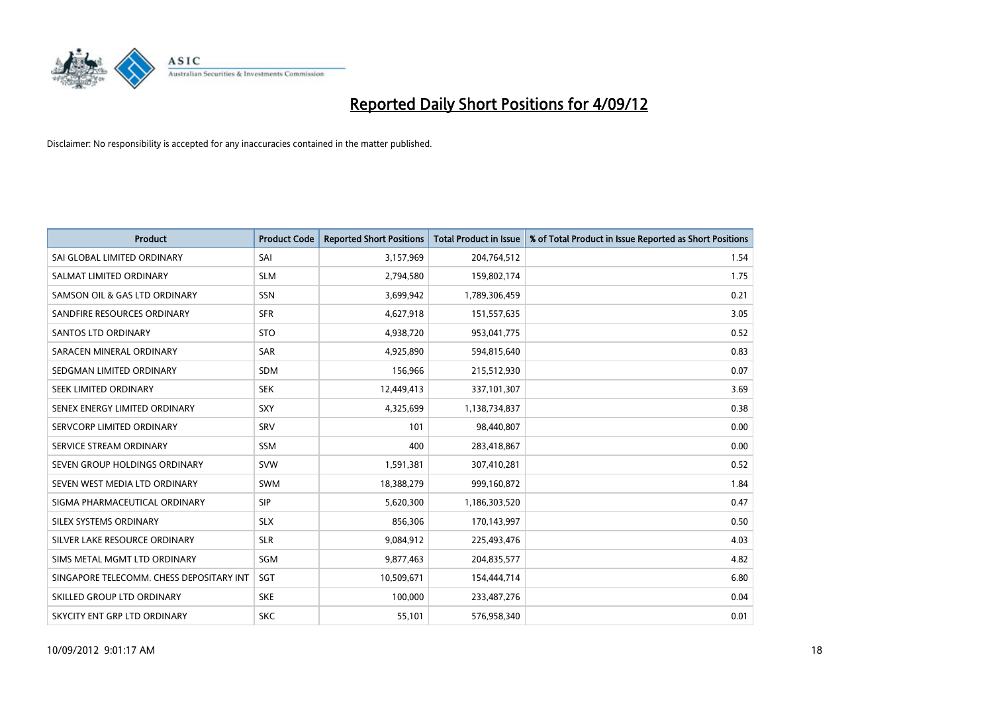

| <b>Product</b>                           | <b>Product Code</b> | <b>Reported Short Positions</b> | <b>Total Product in Issue</b> | % of Total Product in Issue Reported as Short Positions |
|------------------------------------------|---------------------|---------------------------------|-------------------------------|---------------------------------------------------------|
| SAI GLOBAL LIMITED ORDINARY              | SAI                 | 3,157,969                       | 204,764,512                   | 1.54                                                    |
| SALMAT LIMITED ORDINARY                  | <b>SLM</b>          | 2,794,580                       | 159,802,174                   | 1.75                                                    |
| SAMSON OIL & GAS LTD ORDINARY            | <b>SSN</b>          | 3,699,942                       | 1,789,306,459                 | 0.21                                                    |
| SANDFIRE RESOURCES ORDINARY              | <b>SFR</b>          | 4,627,918                       | 151,557,635                   | 3.05                                                    |
| <b>SANTOS LTD ORDINARY</b>               | <b>STO</b>          | 4,938,720                       | 953,041,775                   | 0.52                                                    |
| SARACEN MINERAL ORDINARY                 | <b>SAR</b>          | 4,925,890                       | 594,815,640                   | 0.83                                                    |
| SEDGMAN LIMITED ORDINARY                 | <b>SDM</b>          | 156,966                         | 215,512,930                   | 0.07                                                    |
| SEEK LIMITED ORDINARY                    | <b>SEK</b>          | 12,449,413                      | 337,101,307                   | 3.69                                                    |
| SENEX ENERGY LIMITED ORDINARY            | <b>SXY</b>          | 4,325,699                       | 1,138,734,837                 | 0.38                                                    |
| SERVCORP LIMITED ORDINARY                | SRV                 | 101                             | 98,440,807                    | 0.00                                                    |
| SERVICE STREAM ORDINARY                  | <b>SSM</b>          | 400                             | 283,418,867                   | 0.00                                                    |
| SEVEN GROUP HOLDINGS ORDINARY            | <b>SVW</b>          | 1,591,381                       | 307,410,281                   | 0.52                                                    |
| SEVEN WEST MEDIA LTD ORDINARY            | <b>SWM</b>          | 18,388,279                      | 999,160,872                   | 1.84                                                    |
| SIGMA PHARMACEUTICAL ORDINARY            | <b>SIP</b>          | 5,620,300                       | 1,186,303,520                 | 0.47                                                    |
| SILEX SYSTEMS ORDINARY                   | <b>SLX</b>          | 856,306                         | 170,143,997                   | 0.50                                                    |
| SILVER LAKE RESOURCE ORDINARY            | <b>SLR</b>          | 9,084,912                       | 225,493,476                   | 4.03                                                    |
| SIMS METAL MGMT LTD ORDINARY             | SGM                 | 9,877,463                       | 204,835,577                   | 4.82                                                    |
| SINGAPORE TELECOMM. CHESS DEPOSITARY INT | <b>SGT</b>          | 10,509,671                      | 154,444,714                   | 6.80                                                    |
| SKILLED GROUP LTD ORDINARY               | <b>SKE</b>          | 100,000                         | 233,487,276                   | 0.04                                                    |
| SKYCITY ENT GRP LTD ORDINARY             | <b>SKC</b>          | 55,101                          | 576,958,340                   | 0.01                                                    |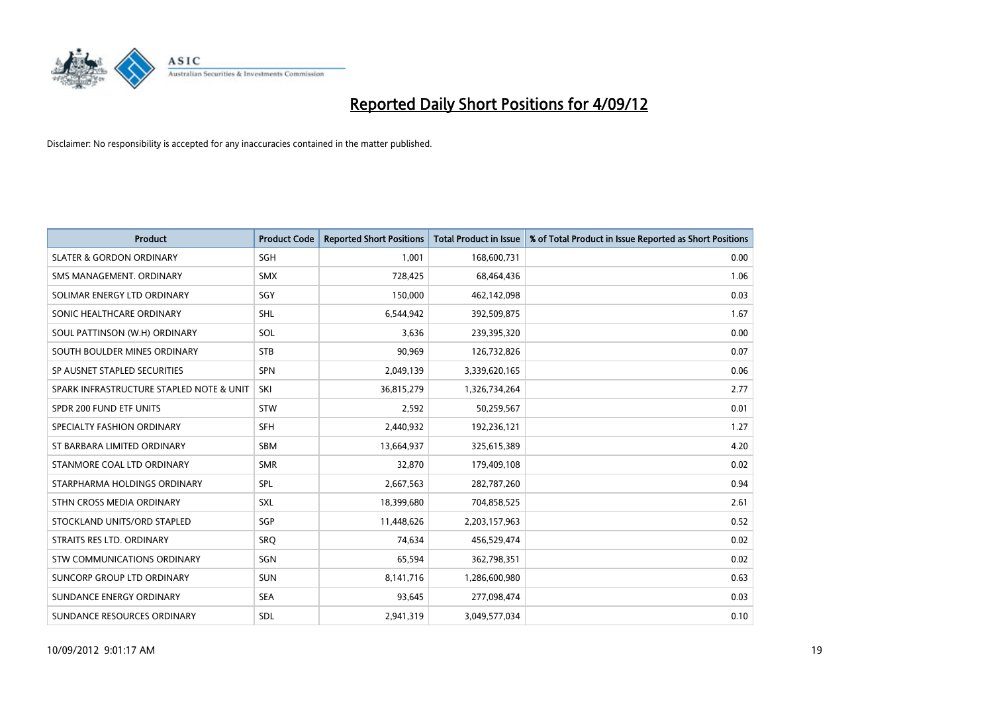

| <b>Product</b>                           | <b>Product Code</b> | <b>Reported Short Positions</b> | <b>Total Product in Issue</b> | % of Total Product in Issue Reported as Short Positions |
|------------------------------------------|---------------------|---------------------------------|-------------------------------|---------------------------------------------------------|
| <b>SLATER &amp; GORDON ORDINARY</b>      | SGH                 | 1,001                           | 168,600,731                   | 0.00                                                    |
| SMS MANAGEMENT. ORDINARY                 | <b>SMX</b>          | 728,425                         | 68,464,436                    | 1.06                                                    |
| SOLIMAR ENERGY LTD ORDINARY              | SGY                 | 150,000                         | 462,142,098                   | 0.03                                                    |
| SONIC HEALTHCARE ORDINARY                | <b>SHL</b>          | 6,544,942                       | 392,509,875                   | 1.67                                                    |
| SOUL PATTINSON (W.H) ORDINARY            | SOL                 | 3,636                           | 239,395,320                   | 0.00                                                    |
| SOUTH BOULDER MINES ORDINARY             | <b>STB</b>          | 90,969                          | 126,732,826                   | 0.07                                                    |
| SP AUSNET STAPLED SECURITIES             | <b>SPN</b>          | 2,049,139                       | 3,339,620,165                 | 0.06                                                    |
| SPARK INFRASTRUCTURE STAPLED NOTE & UNIT | SKI                 | 36,815,279                      | 1,326,734,264                 | 2.77                                                    |
| SPDR 200 FUND ETF UNITS                  | <b>STW</b>          | 2,592                           | 50,259,567                    | 0.01                                                    |
| SPECIALTY FASHION ORDINARY               | <b>SFH</b>          | 2,440,932                       | 192,236,121                   | 1.27                                                    |
| ST BARBARA LIMITED ORDINARY              | <b>SBM</b>          | 13,664,937                      | 325,615,389                   | 4.20                                                    |
| STANMORE COAL LTD ORDINARY               | <b>SMR</b>          | 32,870                          | 179,409,108                   | 0.02                                                    |
| STARPHARMA HOLDINGS ORDINARY             | SPL                 | 2,667,563                       | 282,787,260                   | 0.94                                                    |
| STHN CROSS MEDIA ORDINARY                | SXL                 | 18,399,680                      | 704,858,525                   | 2.61                                                    |
| STOCKLAND UNITS/ORD STAPLED              | SGP                 | 11,448,626                      | 2,203,157,963                 | 0.52                                                    |
| STRAITS RES LTD. ORDINARY                | SRO                 | 74,634                          | 456,529,474                   | 0.02                                                    |
| STW COMMUNICATIONS ORDINARY              | SGN                 | 65,594                          | 362,798,351                   | 0.02                                                    |
| SUNCORP GROUP LTD ORDINARY               | <b>SUN</b>          | 8,141,716                       | 1,286,600,980                 | 0.63                                                    |
| SUNDANCE ENERGY ORDINARY                 | <b>SEA</b>          | 93,645                          | 277,098,474                   | 0.03                                                    |
| SUNDANCE RESOURCES ORDINARY              | <b>SDL</b>          | 2,941,319                       | 3,049,577,034                 | 0.10                                                    |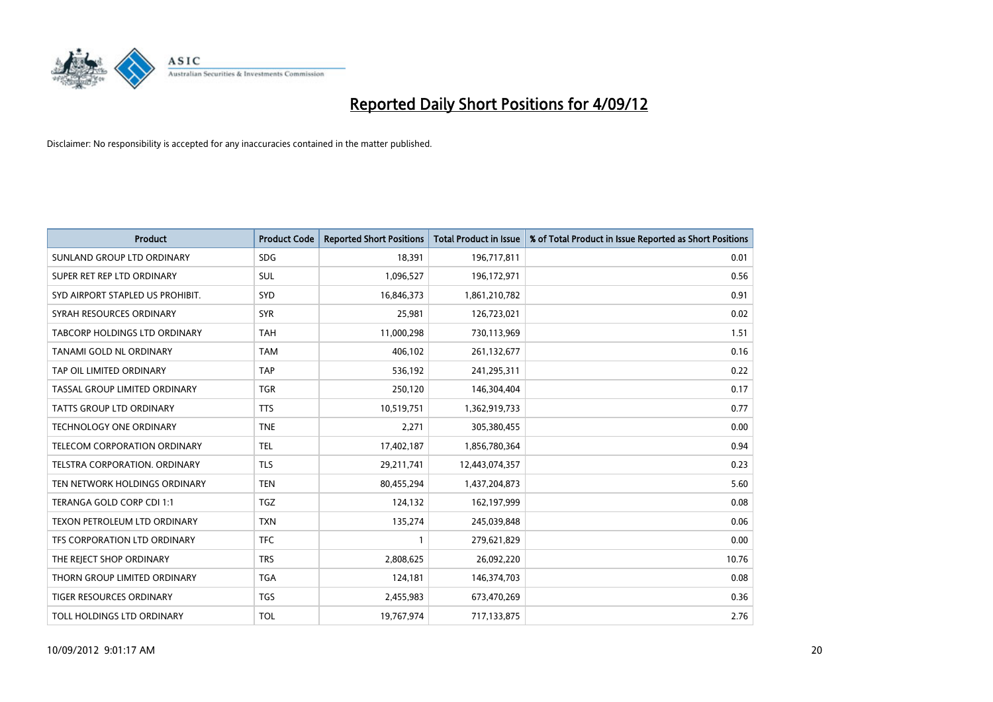

| <b>Product</b>                       | <b>Product Code</b> | <b>Reported Short Positions</b> | <b>Total Product in Issue</b> | % of Total Product in Issue Reported as Short Positions |
|--------------------------------------|---------------------|---------------------------------|-------------------------------|---------------------------------------------------------|
| SUNLAND GROUP LTD ORDINARY           | <b>SDG</b>          | 18,391                          | 196,717,811                   | 0.01                                                    |
| SUPER RET REP LTD ORDINARY           | <b>SUL</b>          | 1,096,527                       | 196,172,971                   | 0.56                                                    |
| SYD AIRPORT STAPLED US PROHIBIT.     | <b>SYD</b>          | 16,846,373                      | 1,861,210,782                 | 0.91                                                    |
| SYRAH RESOURCES ORDINARY             | <b>SYR</b>          | 25,981                          | 126,723,021                   | 0.02                                                    |
| <b>TABCORP HOLDINGS LTD ORDINARY</b> | <b>TAH</b>          | 11,000,298                      | 730,113,969                   | 1.51                                                    |
| TANAMI GOLD NL ORDINARY              | <b>TAM</b>          | 406,102                         | 261,132,677                   | 0.16                                                    |
| TAP OIL LIMITED ORDINARY             | <b>TAP</b>          | 536,192                         | 241,295,311                   | 0.22                                                    |
| TASSAL GROUP LIMITED ORDINARY        | <b>TGR</b>          | 250,120                         | 146,304,404                   | 0.17                                                    |
| <b>TATTS GROUP LTD ORDINARY</b>      | <b>TTS</b>          | 10,519,751                      | 1,362,919,733                 | 0.77                                                    |
| <b>TECHNOLOGY ONE ORDINARY</b>       | <b>TNE</b>          | 2,271                           | 305,380,455                   | 0.00                                                    |
| TELECOM CORPORATION ORDINARY         | <b>TEL</b>          | 17,402,187                      | 1,856,780,364                 | 0.94                                                    |
| <b>TELSTRA CORPORATION, ORDINARY</b> | <b>TLS</b>          | 29,211,741                      | 12,443,074,357                | 0.23                                                    |
| TEN NETWORK HOLDINGS ORDINARY        | <b>TEN</b>          | 80,455,294                      | 1,437,204,873                 | 5.60                                                    |
| TERANGA GOLD CORP CDI 1:1            | <b>TGZ</b>          | 124,132                         | 162,197,999                   | 0.08                                                    |
| <b>TEXON PETROLEUM LTD ORDINARY</b>  | <b>TXN</b>          | 135,274                         | 245,039,848                   | 0.06                                                    |
| TFS CORPORATION LTD ORDINARY         | <b>TFC</b>          |                                 | 279,621,829                   | 0.00                                                    |
| THE REJECT SHOP ORDINARY             | <b>TRS</b>          | 2,808,625                       | 26,092,220                    | 10.76                                                   |
| THORN GROUP LIMITED ORDINARY         | <b>TGA</b>          | 124,181                         | 146,374,703                   | 0.08                                                    |
| TIGER RESOURCES ORDINARY             | <b>TGS</b>          | 2,455,983                       | 673,470,269                   | 0.36                                                    |
| TOLL HOLDINGS LTD ORDINARY           | <b>TOL</b>          | 19,767,974                      | 717,133,875                   | 2.76                                                    |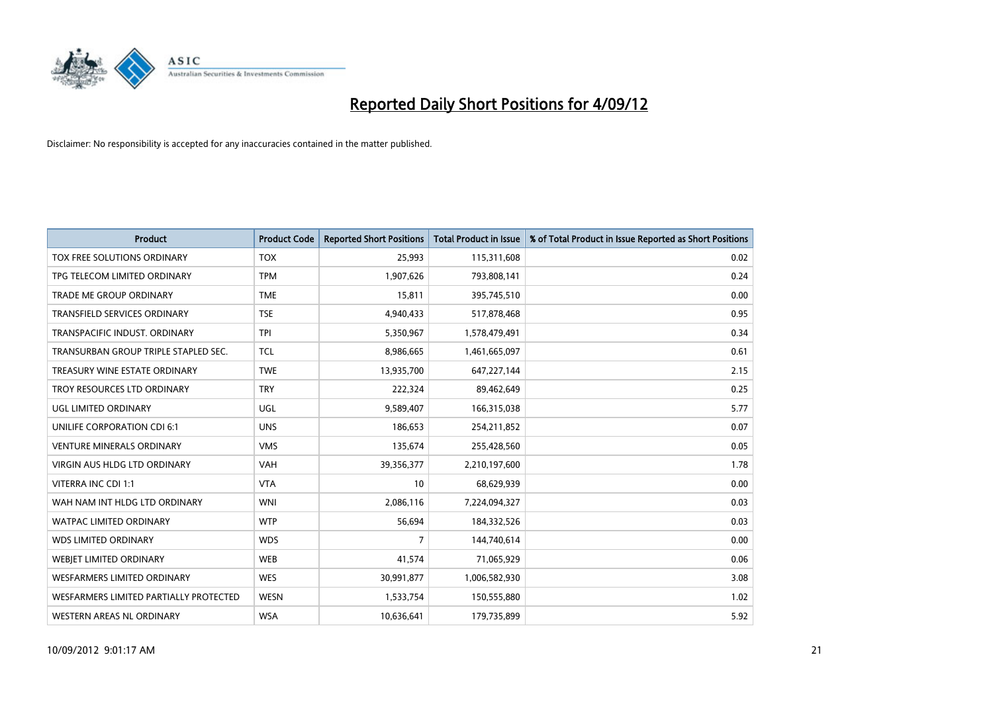

| <b>Product</b>                         | <b>Product Code</b> | <b>Reported Short Positions</b> | <b>Total Product in Issue</b> | % of Total Product in Issue Reported as Short Positions |
|----------------------------------------|---------------------|---------------------------------|-------------------------------|---------------------------------------------------------|
| TOX FREE SOLUTIONS ORDINARY            | <b>TOX</b>          | 25,993                          | 115,311,608                   | 0.02                                                    |
| TPG TELECOM LIMITED ORDINARY           | <b>TPM</b>          | 1,907,626                       | 793,808,141                   | 0.24                                                    |
| <b>TRADE ME GROUP ORDINARY</b>         | <b>TME</b>          | 15,811                          | 395,745,510                   | 0.00                                                    |
| TRANSFIELD SERVICES ORDINARY           | <b>TSE</b>          | 4,940,433                       | 517,878,468                   | 0.95                                                    |
| TRANSPACIFIC INDUST, ORDINARY          | <b>TPI</b>          | 5,350,967                       | 1,578,479,491                 | 0.34                                                    |
| TRANSURBAN GROUP TRIPLE STAPLED SEC.   | <b>TCL</b>          | 8,986,665                       | 1,461,665,097                 | 0.61                                                    |
| TREASURY WINE ESTATE ORDINARY          | <b>TWE</b>          | 13,935,700                      | 647,227,144                   | 2.15                                                    |
| TROY RESOURCES LTD ORDINARY            | <b>TRY</b>          | 222,324                         | 89,462,649                    | 0.25                                                    |
| <b>UGL LIMITED ORDINARY</b>            | UGL                 | 9,589,407                       | 166,315,038                   | 5.77                                                    |
| UNILIFE CORPORATION CDI 6:1            | <b>UNS</b>          | 186,653                         | 254,211,852                   | 0.07                                                    |
| <b>VENTURE MINERALS ORDINARY</b>       | <b>VMS</b>          | 135,674                         | 255,428,560                   | 0.05                                                    |
| <b>VIRGIN AUS HLDG LTD ORDINARY</b>    | <b>VAH</b>          | 39,356,377                      | 2,210,197,600                 | 1.78                                                    |
| VITERRA INC CDI 1:1                    | <b>VTA</b>          | 10                              | 68,629,939                    | 0.00                                                    |
| WAH NAM INT HLDG LTD ORDINARY          | <b>WNI</b>          | 2,086,116                       | 7,224,094,327                 | 0.03                                                    |
| <b>WATPAC LIMITED ORDINARY</b>         | <b>WTP</b>          | 56,694                          | 184,332,526                   | 0.03                                                    |
| <b>WDS LIMITED ORDINARY</b>            | <b>WDS</b>          | 7                               | 144,740,614                   | 0.00                                                    |
| WEBIET LIMITED ORDINARY                | <b>WEB</b>          | 41,574                          | 71,065,929                    | 0.06                                                    |
| <b>WESFARMERS LIMITED ORDINARY</b>     | <b>WES</b>          | 30,991,877                      | 1,006,582,930                 | 3.08                                                    |
| WESFARMERS LIMITED PARTIALLY PROTECTED | <b>WESN</b>         | 1,533,754                       | 150,555,880                   | 1.02                                                    |
| WESTERN AREAS NL ORDINARY              | <b>WSA</b>          | 10,636,641                      | 179,735,899                   | 5.92                                                    |